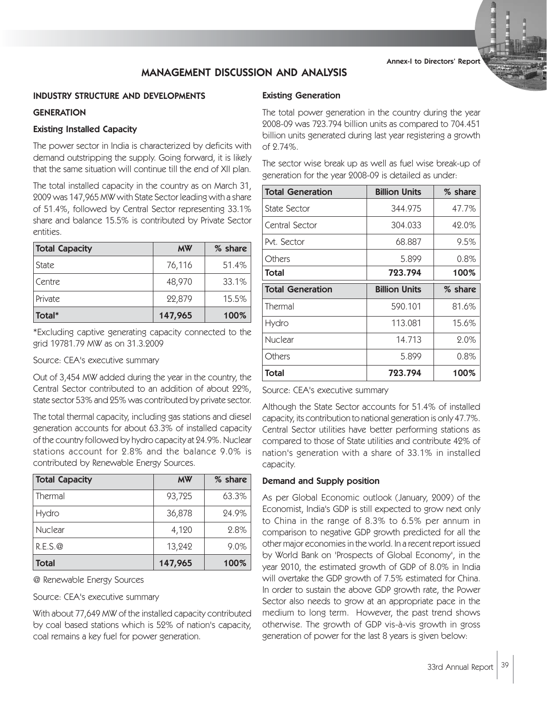# MANAGEMENT DISCUSSION AND ANALYSIS

## INDUSTRY STRUCTURE AND DEVELOPMENTS

#### Existing Generation

#### **GENERATION**

#### Existing Installed Capacity

The power sector in India is characterized by deficits with demand outstripping the supply. Going forward, it is likely that the same situation will continue till the end of XII plan.

The total installed capacity in the country as on March 31, 2009 was 147,965 MW with State Sector leading with a share of 51.4%, followed by Central Sector representing 33.1% share and balance 15.5% is contributed by Private Sector entities.

| <b>Total Capacity</b> | <b>MW</b> | % share |
|-----------------------|-----------|---------|
| <b>State</b>          | 76,116    | 51.4%   |
| l Centre              | 48,970    | 33.1%   |
| Private               | 22,879    | 15.5%   |
| Total*                | 147,965   | 100%    |

\*Excluding captive generating capacity connected to the grid 19781.79 MW as on 31.3.2009

Source: CEA's executive summary

Out of 3,454 MW added during the year in the country, the Central Sector contributed to an addition of about 22%, state sector 53% and 25% was contributed by private sector.

The total thermal capacity, including gas stations and diesel generation accounts for about 63.3% of installed capacity of the country followed by hydro capacity at 24.9%. Nuclear stations account for 2.8% and the balance 9.0% is contributed by Renewable Energy Sources.

| <b>Total Capacity</b> | <b>MW</b> | % share |
|-----------------------|-----------|---------|
| Thermal               | 93,725    | 63.3%   |
| <b>Hydro</b>          | 36,878    | 24.9%   |
| <b>Nuclear</b>        | 4,120     | 2.8%    |
| R.E.S.Q               | 13,242    | 9.0%    |
| <b>Total</b>          | 147,965   | 100%    |

@ Renewable Energy Sources

Source: CEA's executive summary

With about 77,649 MW of the installed capacity contributed by coal based stations which is 52% of nation's capacity, coal remains a key fuel for power generation.

The total power generation in the country during the year 2008-09 was 723.794 billion units as compared to 704.451 billion units generated during last year registering a growth of 2.74%.

The sector wise break up as well as fuel wise break-up of generation for the year 2008-09 is detailed as under:

| <b>Total Generation</b> | <b>Billion Units</b> | $%$ share |
|-------------------------|----------------------|-----------|
| State Sector            | 344.975              | 47.7%     |
| Central Sector          | 304.033              | 42.0%     |
| Pvt. Sector             | 68.887               | 9.5%      |
| Others                  | 5.899                | 0.8%      |
| Total                   | 723.794              | 100%      |
|                         |                      |           |
| <b>Total Generation</b> | <b>Billion Units</b> | % share   |
| Thermal                 | 590.101              | 81.6%     |
| Hydro                   | 113.081              | 15.6%     |
| Nuclear                 | 14.713               | 2.0%      |
| Others                  | 5.899                | 0.8%      |

#### Source: CEA's executive summary

Although the State Sector accounts for 51.4% of installed capacity, its contribution to national generation is only 47.7%. Central Sector utilities have better performing stations as compared to those of State utilities and contribute 42% of nation's generation with a share of 33.1% in installed capacity.

### Demand and Supply position

As per Global Economic outlook (January, 2009) of the Economist, India's GDP is still expected to grow next only to China in the range of 8.3% to 6.5% per annum in comparison to negative GDP growth predicted for all the other major economies in the world. In a recent report issued by World Bank on 'Prospects of Global Economy', in the year 2010, the estimated growth of GDP of 8.0% in India will overtake the GDP growth of 7.5% estimated for China. In order to sustain the above GDP growth rate, the Power Sector also needs to grow at an appropriate pace in the medium to long term. However, the past trend shows otherwise. The growth of GDP vis-à-vis growth in gross generation of power for the last 8 years is given below: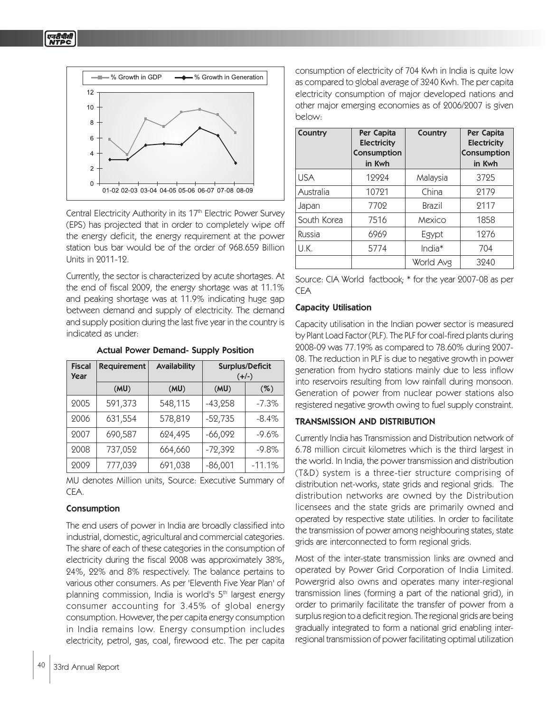

Central Electricity Authority in its 17<sup>th</sup> Electric Power Survey (EPS) has projected that in order to completely wipe off the energy deficit, the energy requirement at the power station bus bar would be of the order of 968.659 Billion Units in 2011-12.

Currently, the sector is characterized by acute shortages. At the end of fiscal 2009, the energy shortage was at 11.1% and peaking shortage was at 11.9% indicating huge gap between demand and supply of electricity. The demand and supply position during the last five year in the country is indicated as under:

| <b>Fiscal</b><br><b>Year</b> | <b>Requirement</b> | <b>Availability</b> | <b>Surplus/Deficit</b><br>$(+/-)$ |          |
|------------------------------|--------------------|---------------------|-----------------------------------|----------|
|                              | (MU)               | (MU)                | (MU)                              | $(\%)$   |
| 2005                         | 591,373            | 548,115             | $-43,258$                         | $-7.3%$  |
| 2006                         | 631,554            | 578,819             | $-52,735$                         | $-8.4%$  |
| 2007                         | 690,587            | 624,495             | $-66,092$                         | $-9.6%$  |
| 2008                         | 737,052            | 664,660             | $-72,392$                         | $-9.8%$  |
| 2009                         | 777,039            | 691,038             | $-86,001$                         | $-11.1%$ |

Actual Power Demand- Supply Position

MU denotes Million units, Source: Executive Summary of CEA.

#### Consumption

The end users of power in India are broadly classified into industrial, domestic, agricultural and commercial categories. The share of each of these categories in the consumption of electricity during the fiscal 2008 was approximately 38%, 24%, 22% and 8% respectively. The balance pertains to various other consumers. As per 'Eleventh Five Year Plan' of planning commission, India is world's 5<sup>th</sup> largest energy consumer accounting for 3.45% of global energy consumption. However, the per capita energy consumption in India remains low. Energy consumption includes electricity, petrol, gas, coal, firewood etc. The per capita consumption of electricity of 704 Kwh in India is quite low as compared to global average of 3240 Kwh. The per capita electricity consumption of major developed nations and other major emerging economies as of 2006/2007 is given below:

| Country     | Per Capita<br><b>Electricity</b><br>Consumption<br>in Kwh | Country   | Per Capita<br><b>Electricity</b><br>Consumption<br>in Kwh |
|-------------|-----------------------------------------------------------|-----------|-----------------------------------------------------------|
| <b>USA</b>  | 12924                                                     | Malaysia  | 3725                                                      |
| Australia   | 10721                                                     | China     | 2179                                                      |
| Japan       | 7702                                                      | Brazil    | 2117                                                      |
| South Korea | 7516                                                      | Mexico    | 1858                                                      |
| Russia      | 6969                                                      | Egypt     | 1276                                                      |
| U.K.        | 5774                                                      | India*    | 704                                                       |
|             |                                                           | World Avg | 3240                                                      |

Source: CIA World factbook; \* for the year 2007-08 as per CEA

#### Capacity Utilisation

Capacity utilisation in the Indian power sector is measured by Plant Load Factor (PLF). The PLF for coal-fired plants during 2008-09 was 77.19% as compared to 78.60% during 2007- 08. The reduction in PLF is due to negative growth in power generation from hydro stations mainly due to less inflow into reservoirs resulting from low rainfall during monsoon. Generation of power from nuclear power stations also registered negative growth owing to fuel supply constraint.

## TRANSMISSION AND DISTRIBUTION

Currently India has Transmission and Distribution network of 6.78 million circuit kilometres which is the third largest in the world. In India, the power transmission and distribution (T&D) system is a three-tier structure comprising of distribution net-works, state grids and regional grids. The distribution networks are owned by the Distribution licensees and the state grids are primarily owned and operated by respective state utilities. In order to facilitate the transmission of power among neighbouring states, state grids are interconnected to form regional grids.

Most of the inter-state transmission links are owned and operated by Power Grid Corporation of India Limited. Powergrid also owns and operates many inter-regional transmission lines (forming a part of the national grid), in order to primarily facilitate the transfer of power from a surplus region to a deficit region. The regional grids are being gradually integrated to form a national grid enabling interregional transmission of power facilitating optimal utilization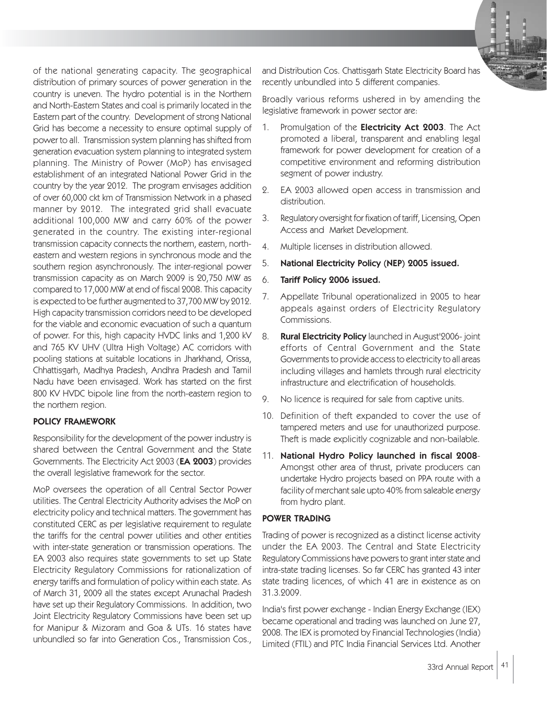

of the national generating capacity. The geographical distribution of primary sources of power generation in the country is uneven. The hydro potential is in the Northern and North-Eastern States and coal is primarily located in the Eastern part of the country. Development of strong National Grid has become a necessity to ensure optimal supply of power to all. Transmission system planning has shifted from generation evacuation system planning to integrated system planning. The Ministry of Power (MoP) has envisaged establishment of an integrated National Power Grid in the country by the year 2012. The program envisages addition of over 60,000 ckt km of Transmission Network in a phased manner by 2012. The integrated grid shall evacuate additional 100,000 MW and carry 60% of the power generated in the country. The existing inter-regional transmission capacity connects the northern, eastern, northeastern and western regions in synchronous mode and the southern region asynchronously. The inter-regional power transmission capacity as on March 2009 is 20,750 MW as compared to 17,000 MW at end of fiscal 2008. This capacity is expected to be further augmented to 37,700 MW by 2012. High capacity transmission corridors need to be developed for the viable and economic evacuation of such a quantum of power. For this, high capacity HVDC links and 1,200 kV and 765 KV UHV (Ultra High Voltage) AC corridors with pooling stations at suitable locations in Jharkhand, Orissa, Chhattisgarh, Madhya Pradesh, Andhra Pradesh and Tamil Nadu have been envisaged. Work has started on the first 800 KV HVDC bipole line from the north-eastern region to the northern region.

# POLICY FRAMEWORK

Responsibility for the development of the power industry is shared between the Central Government and the State Governments. The Electricity Act 2003 (EA 2003) provides the overall legislative framework for the sector.

MoP oversees the operation of all Central Sector Power utilities. The Central Electricity Authority advises the MoP on electricity policy and technical matters. The government has constituted CERC as per legislative requirement to regulate the tariffs for the central power utilities and other entities with inter-state generation or transmission operations. The EA 2003 also requires state governments to set up State Electricity Regulatory Commissions for rationalization of energy tariffs and formulation of policy within each state. As of March 31, 2009 all the states except Arunachal Pradesh have set up their Regulatory Commissions. In addition, two Joint Electricity Regulatory Commissions have been set up for Manipur & Mizoram and Goa & UTs. 16 states have unbundled so far into Generation Cos., Transmission Cos.,

and Distribution Cos. Chattisgarh State Electricity Board has recently unbundled into 5 different companies.

Broadly various reforms ushered in by amending the legislative framework in power sector are:

- 1. Promulgation of the **Electricity Act 2003**. The Act promoted a liberal, transparent and enabling legal framework for power development for creation of a competitive environment and reforming distribution segment of power industry.
- 2. EA 2003 allowed open access in transmission and distribution.
- 3. Regulatory oversight for fixation of tariff, Licensing, Open Access and Market Development.
- 4. Multiple licenses in distribution allowed.

#### 5. National Electricity Policy (NEP) 2005 issued.

### 6. Tariff Policy 2006 issued.

- 7. Appellate Tribunal operationalized in 2005 to hear appeals against orders of Electricity Regulatory Commissions.
- 8. **Rural Electricity Policy** launched in August<sup>1</sup>2006- joint efforts of Central Government and the State Governments to provide access to electricity to all areas including villages and hamlets through rural electricity infrastructure and electrification of households.
- 9. No licence is required for sale from captive units.
- 10. Definition of theft expanded to cover the use of tampered meters and use for unauthorized purpose. Theft is made explicitly cognizable and non-bailable.
- 11. National Hydro Policy launched in fiscal 2008- Amongst other area of thrust, private producers can undertake Hydro projects based on PPA route with a facility of merchant sale upto 40% from saleable energy from hydro plant.

### POWER TRADING

Trading of power is recognized as a distinct license activity under the EA 2003. The Central and State Electricity Regulatory Commissions have powers to grant inter state and intra-state trading licenses. So far CERC has granted 43 inter state trading licences, of which 41 are in existence as on 31.3.2009.

India's first power exchange - Indian Energy Exchange (IEX) became operational and trading was launched on June 27, 2008. The IEX is promoted by Financial Technologies (India) Limited (FTIL) and PTC India Financial Services Ltd. Another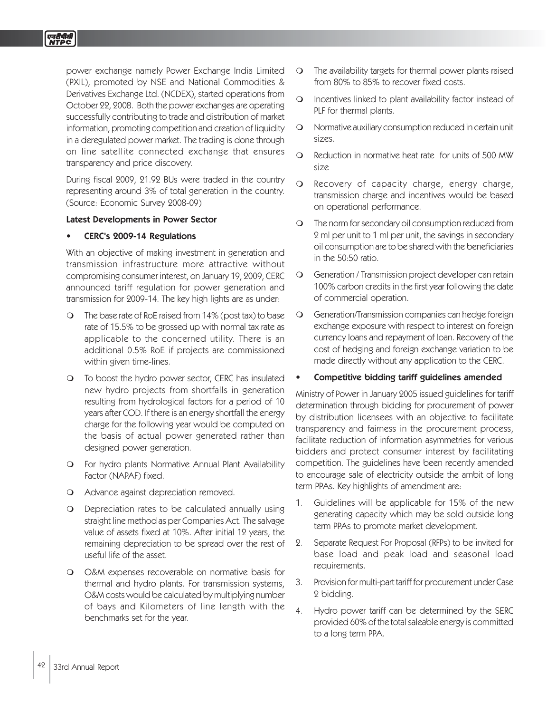power exchange namely Power Exchange India Limited (PXIL), promoted by NSE and National Commodities & Derivatives Exchange Ltd. (NCDEX), started operations from October 22, 2008. Both the power exchanges are operating successfully contributing to trade and distribution of market information, promoting competition and creation of liquidity in a deregulated power market. The trading is done through on line satellite connected exchange that ensures transparency and price discovery.

During fiscal 2009, 21.92 BUs were traded in the country representing around 3% of total generation in the country. (Source: Economic Survey 2008-09)

#### Latest Developments in Power Sector

#### • CERC's 2009-14 Regulations

With an objective of making investment in generation and transmission infrastructure more attractive without compromising consumer interest, on January 19, 2009, CERC announced tariff regulation for power generation and transmission for 2009-14. The key high lights are as under:

- $\Omega$  The base rate of RoE raised from 14% (post tax) to base rate of 15.5% to be grossed up with normal tax rate as applicable to the concerned utility. There is an additional 0.5% RoE if projects are commissioned within given time-lines.
- To boost the hydro power sector, CERC has insulated new hydro projects from shortfalls in generation resulting from hydrological factors for a period of 10 years after COD. If there is an energy shortfall the energy charge for the following year would be computed on the basis of actual power generated rather than designed power generation.
- O For hydro plants Normative Annual Plant Availability Factor (NAPAF) fixed.
- O Advance against depreciation removed.
- O Depreciation rates to be calculated annually using straight line method as per Companies Act. The salvage value of assets fixed at 10%. After initial 12 years, the remaining depreciation to be spread over the rest of useful life of the asset.
- O O&M expenses recoverable on normative basis for thermal and hydro plants. For transmission systems, O&M costs would be calculated by multiplying number of bays and Kilometers of line length with the benchmarks set for the year.
- $\circ$  The availability targets for thermal power plants raised from 80% to 85% to recover fixed costs.
- $\circ$  Incentives linked to plant availability factor instead of PLF for thermal plants.
- $\circ$  Normative auxiliary consumption reduced in certain unit sizes.
- $\Omega$  Reduction in normative heat rate for units of 500 MW size
- $\circ$  Recovery of capacity charge, energy charge, transmission charge and incentives would be based on operational performance.
- $\Omega$  The norm for secondary oil consumption reduced from 2 ml per unit to 1 ml per unit, the savings in secondary oil consumption are to be shared with the beneficiaries in the 50:50 ratio.
- $\circ$  Generation / Transmission project developer can retain 100% carbon credits in the first year following the date of commercial operation.
- $\circ$  Generation/Transmission companies can hedge foreign exchange exposure with respect to interest on foreign currency loans and repayment of loan. Recovery of the cost of hedging and foreign exchange variation to be made directly without any application to the CERC.
- Competitive bidding tariff guidelines amended

Ministry of Power in January 2005 issued guidelines for tariff determination through bidding for procurement of power by distribution licensees with an objective to facilitate transparency and fairness in the procurement process, facilitate reduction of information asymmetries for various bidders and protect consumer interest by facilitating competition. The guidelines have been recently amended to encourage sale of electricity outside the ambit of long term PPAs. Key highlights of amendment are:

- 1. Guidelines will be applicable for 15% of the new generating capacity which may be sold outside long term PPAs to promote market development.
- 2. Separate Request For Proposal (RFPs) to be invited for base load and peak load and seasonal load requirements.
- 3. Provision for multi-part tariff for procurement under Case 2 bidding.
- 4. Hydro power tariff can be determined by the SERC provided 60% of the total saleable energy is committed to a long term PPA.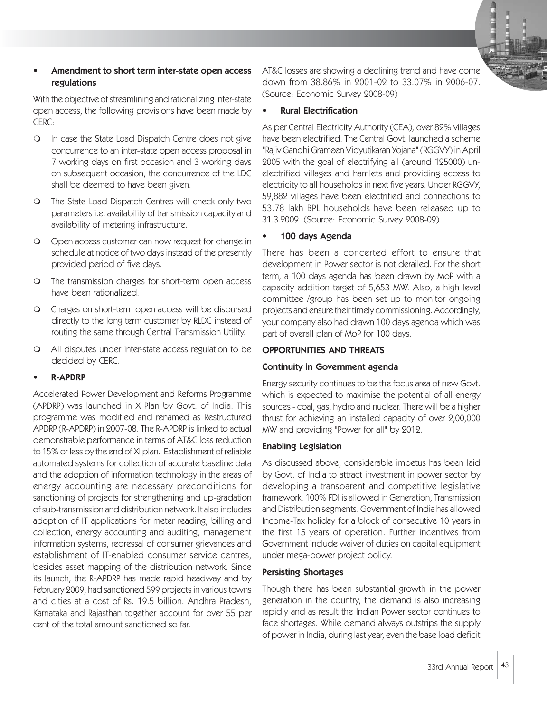

# Amendment to short term inter-state open access regulations

With the objective of streamlining and rationalizing inter-state open access, the following provisions have been made by CERC:

- O In case the State Load Dispatch Centre does not give concurrence to an inter-state open access proposal in 7 working days on first occasion and 3 working days on subsequent occasion, the concurrence of the LDC shall be deemed to have been given.
- $\Omega$  The State Load Dispatch Centres will check only two parameters i.e. availability of transmission capacity and availability of metering infrastructure.
- O Open access customer can now request for change in schedule at notice of two days instead of the presently provided period of five days.
- O The transmission charges for short-term open access have been rationalized.
- O Charges on short-term open access will be disbursed directly to the long term customer by RLDC instead of routing the same through Central Transmission Utility.
- $\Omega$  All disputes under inter-state access regulation to be decided by CERC.

# • R-APDRP

Accelerated Power Development and Reforms Programme (APDRP) was launched in X Plan by Govt. of India. This programme was modified and renamed as Restructured APDRP (R-APDRP) in 2007-08. The R-APDRP is linked to actual demonstrable performance in terms of AT&C loss reduction to 15% or less by the end of XI plan. Establishment of reliable automated systems for collection of accurate baseline data and the adoption of information technology in the areas of energy accounting are necessary preconditions for sanctioning of projects for strengthening and up-gradation of sub-transmission and distribution network. It also includes adoption of IT applications for meter reading, billing and collection, energy accounting and auditing, management information systems, redressal of consumer grievances and establishment of IT-enabled consumer service centres, besides asset mapping of the distribution network. Since its launch, the R-APDRP has made rapid headway and by February 2009, had sanctioned 599 projects in various towns and cities at a cost of Rs. 19.5 billion. Andhra Pradesh, Karnataka and Rajasthan together account for over 55 per cent of the total amount sanctioned so far.

AT&C losses are showing a declining trend and have come down from 38.86% in 2001-02 to 33.07% in 2006-07. (Source: Economic Survey 2008-09)

### • Rural Electrification

As per Central Electricity Authority (CEA), over 82% villages have been electrified. The Central Govt. launched a scheme "Rajiv Gandhi Grameen Vidyutikaran Yojana" (RGGVY) in April 2005 with the goal of electrifying all (around 125000) unelectrified villages and hamlets and providing access to electricity to all households in next five years. Under RGGVY, 59,882 villages have been electrified and connections to 53.78 lakh BPL households have been released up to 31.3.2009. (Source: Economic Survey 2008-09)

## • 100 days Agenda

There has been a concerted effort to ensure that development in Power sector is not derailed. For the short term, a 100 days agenda has been drawn by MoP with a capacity addition target of 5,653 MW. Also, a high level committee /group has been set up to monitor ongoing projects and ensure their timely commissioning. Accordingly, your company also had drawn 100 days agenda which was part of overall plan of MoP for 100 days.

# OPPORTUNITIES AND THREATS

#### Continuity in Government agenda

Energy security continues to be the focus area of new Govt. which is expected to maximise the potential of all energy sources - coal, gas, hydro and nuclear. There will be a higher thrust for achieving an installed capacity of over 2,00,000 MW and providing "Power for all" by 2012.

# Enabling Legislation

As discussed above, considerable impetus has been laid by Govt. of India to attract investment in power sector by developing a transparent and competitive legislative framework. 100% FDI is allowed in Generation, Transmission and Distribution segments. Government of India has allowed Income-Tax holiday for a block of consecutive 10 years in the first 15 years of operation. Further incentives from Government include waiver of duties on capital equipment under mega-power project policy.

#### Persisting Shortages

Though there has been substantial growth in the power generation in the country, the demand is also increasing rapidly and as result the Indian Power sector continues to face shortages. While demand always outstrips the supply of power in India, during last year, even the base load deficit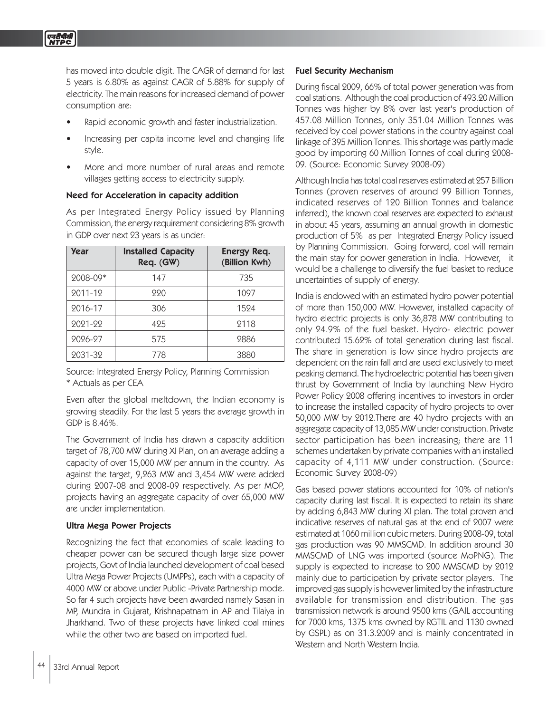has moved into double digit. The CAGR of demand for last 5 years is 6.80% as against CAGR of 5.88% for supply of electricity. The main reasons for increased demand of power consumption are:

- Rapid economic growth and faster industrialization.
- Increasing per capita income level and changing life style.
- More and more number of rural areas and remote villages getting access to electricity supply.

#### Need for Acceleration in capacity addition

As per Integrated Energy Policy issued by Planning Commission, the energy requirement considering 8% growth in GDP over next 23 years is as under:

| <b>Year</b> | <b>Installed Capacity</b><br>Req. (GW) | Energy Req.<br>(Billion Kwh) |
|-------------|----------------------------------------|------------------------------|
| 2008-09*    | 147                                    | 735                          |
| 2011-12     | 220                                    | 1097                         |
| 2016-17     | 306                                    | 1524                         |
| 2021-22     | 495                                    | 2118                         |
| 2026-27     | 575                                    | 2886                         |
| 2031-32     | 778                                    | 3880                         |

Source: Integrated Energy Policy, Planning Commission \* Actuals as per CEA

Even after the global meltdown, the Indian economy is growing steadily. For the last 5 years the average growth in GDP is 8.46%.

The Government of India has drawn a capacity addition target of 78,700 MW during XI Plan, on an average adding a capacity of over 15,000 MW per annum in the country. As against the target, 9,263 MW and 3,454 MW were added during 2007-08 and 2008-09 respectively. As per MOP, projects having an aggregate capacity of over 65,000 MW are under implementation.

#### Ultra Mega Power Projects

Recognizing the fact that economies of scale leading to cheaper power can be secured though large size power projects, Govt of India launched development of coal based Ultra Mega Power Projects (UMPPs), each with a capacity of 4000 MW or above under Public -Private Partnership mode. So far 4 such projects have been awarded namely Sasan in MP, Mundra in Gujarat, Krishnapatnam in AP and Tilaiya in Jharkhand. Two of these projects have linked coal mines while the other two are based on imported fuel.

#### Fuel Security Mechanism

During fiscal 2009, 66% of total power generation was from coal stations. Although the coal production of 493.20 Million Tonnes was higher by 8% over last year's production of 457.08 Million Tonnes, only 351.04 Million Tonnes was received by coal power stations in the country against coal linkage of 395 Million Tonnes. This shortage was partly made good by importing 60 Million Tonnes of coal during 2008- 09. (Source: Economic Survey 2008-09)

Although India has total coal reserves estimated at 257 Billion Tonnes (proven reserves of around 99 Billion Tonnes, indicated reserves of 120 Billion Tonnes and balance inferred), the known coal reserves are expected to exhaust in about 45 years, assuming an annual growth in domestic production of 5% as per Integrated Energy Policy issued by Planning Commission. Going forward, coal will remain the main stay for power generation in India. However, it would be a challenge to diversify the fuel basket to reduce uncertainties of supply of energy.

India is endowed with an estimated hydro power potential of more than 150,000 MW. However, installed capacity of hydro electric projects is only 36,878 MW contributing to only 24.9% of the fuel basket. Hydro- electric power contributed 15.62% of total generation during last fiscal. The share in generation is low since hydro projects are dependent on the rain fall and are used exclusively to meet peaking demand. The hydroelectric potential has been given thrust by Government of India by launching New Hydro Power Policy 2008 offering incentives to investors in order to increase the installed capacity of hydro projects to over 50,000 MW by 2012.There are 40 hydro projects with an aggregate capacity of 13,085 MW under construction. Private sector participation has been increasing; there are 11 schemes undertaken by private companies with an installed capacity of 4,111 MW under construction. (Source: Economic Survey 2008-09)

Gas based power stations accounted for 10% of nation's capacity during last fiscal. It is expected to retain its share by adding 6,843 MW during XI plan. The total proven and indicative reserves of natural gas at the end of 2007 were estimated at 1060 million cubic meters. During 2008-09, total gas production was 90 MMSCMD. In addition around 30 MMSCMD of LNG was imported (source MoPNG). The supply is expected to increase to 200 MMSCMD by 2012 mainly due to participation by private sector players. The improved gas supply is however limited by the infrastructure available for transmission and distribution. The gas transmission network is around 9500 kms (GAIL accounting for 7000 kms, 1375 kms owned by RGTIL and 1130 owned by GSPL) as on 31.3.2009 and is mainly concentrated in Western and North Western India.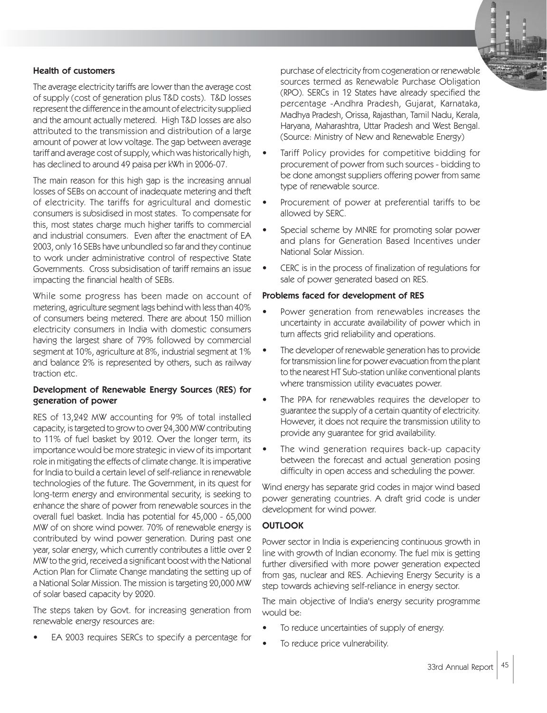#### Health of customers

The average electricity tariffs are lower than the average cost of supply (cost of generation plus T&D costs). T&D losses represent the difference in the amount of electricity supplied and the amount actually metered. High T&D losses are also attributed to the transmission and distribution of a large amount of power at low voltage. The gap between average tariff and average cost of supply, which was historically high, has declined to around 49 paisa per kWh in 2006-07.

The main reason for this high gap is the increasing annual losses of SEBs on account of inadequate metering and theft of electricity. The tariffs for agricultural and domestic consumers is subsidised in most states. To compensate for this, most states charge much higher tariffs to commercial and industrial consumers. Even after the enactment of EA 2003, only 16 SEBs have unbundled so far and they continue to work under administrative control of respective State Governments. Cross subsidisation of tariff remains an issue impacting the financial health of SEBs.

While some progress has been made on account of metering, agriculture segment lags behind with less than 40% of consumers being metered. There are about 150 million electricity consumers in India with domestic consumers having the largest share of 79% followed by commercial segment at 10%, agriculture at 8%, industrial segment at 1% and balance 2% is represented by others, such as railway traction etc.

### Development of Renewable Energy Sources (RES) for generation of power

RES of 13,242 MW accounting for 9% of total installed capacity, is targeted to grow to over 24,300 MW contributing to 11% of fuel basket by 2012. Over the longer term, its importance would be more strategic in view of its important role in mitigating the effects of climate change. It is imperative for India to build a certain level of self-reliance in renewable technologies of the future. The Government, in its quest for long-term energy and environmental security, is seeking to enhance the share of power from renewable sources in the overall fuel basket. India has potential for 45,000 - 65,000 MW of on shore wind power. 70% of renewable energy is contributed by wind power generation. During past one year, solar energy, which currently contributes a little over 2 MW to the grid, received a significant boost with the National Action Plan for Climate Change mandating the setting up of a National Solar Mission. The mission is targeting 20,000 MW of solar based capacity by 2020.

The steps taken by Govt. for increasing generation from renewable energy resources are:

EA 2003 requires SERCs to specify a percentage for

purchase of electricity from cogeneration or renewable sources termed as Renewable Purchase Obligation (RPO). SERCs in 12 States have already specified the percentage -Andhra Pradesh, Gujarat, Karnataka, Madhya Pradesh, Orissa, Rajasthan, Tamil Nadu, Kerala, Haryana, Maharashtra, Uttar Pradesh and West Bengal. (Source: Ministry of New and Renewable Energy)

- Tariff Policy provides for competitive bidding for procurement of power from such sources - bidding to be done amongst suppliers offering power from same type of renewable source.
- Procurement of power at preferential tariffs to be allowed by SERC.
- Special scheme by MNRE for promoting solar power and plans for Generation Based Incentives under National Solar Mission.
- CERC is in the process of finalization of regulations for sale of power generated based on RES.

#### Problems faced for development of RES

- Power generation from renewables increases the uncertainty in accurate availability of power which in turn affects grid reliability and operations.
- The developer of renewable generation has to provide for transmission line for power evacuation from the plant to the nearest HT Sub-station unlike conventional plants where transmission utility evacuates power.
- The PPA for renewables requires the developer to guarantee the supply of a certain quantity of electricity. However, it does not require the transmission utility to provide any guarantee for grid availability.
- The wind generation requires back-up capacity between the forecast and actual generation posing difficulty in open access and scheduling the power.

Wind energy has separate grid codes in major wind based power generating countries. A draft grid code is under development for wind power.

# **OUTLOOK**

Power sector in India is experiencing continuous growth in line with growth of Indian economy. The fuel mix is getting further diversified with more power generation expected from gas, nuclear and RES. Achieving Energy Security is a step towards achieving self-reliance in energy sector.

The main objective of India's energy security programme would be:

- To reduce uncertainties of supply of energy.
- To reduce price vulnerability.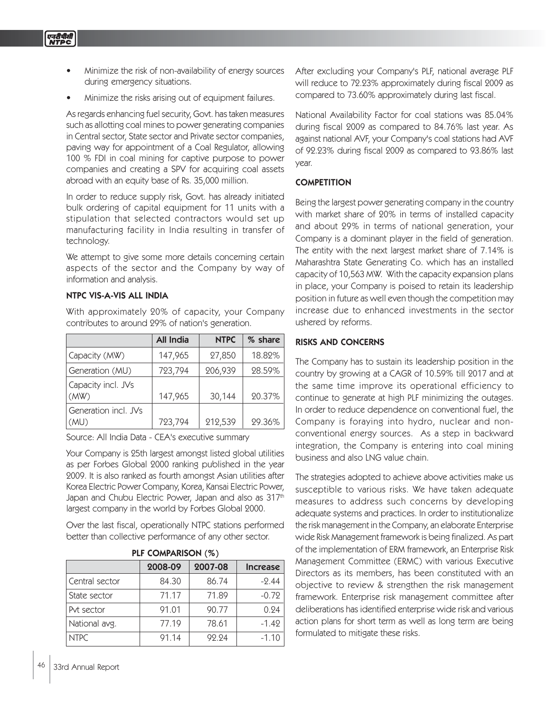- Minimize the risk of non-availability of energy sources during emergency situations.
- Minimize the risks arising out of equipment failures.

As regards enhancing fuel security, Govt. has taken measures such as allotting coal mines to power generating companies in Central sector, State sector and Private sector companies, paving way for appointment of a Coal Regulator, allowing 100 % FDI in coal mining for captive purpose to power companies and creating a SPV for acquiring coal assets abroad with an equity base of Rs. 35,000 million.

In order to reduce supply risk, Govt. has already initiated bulk ordering of capital equipment for 11 units with a stipulation that selected contractors would set up manufacturing facility in India resulting in transfer of technology.

We attempt to give some more details concerning certain aspects of the sector and the Company by way of information and analysis.

## NTPC VIS-A-VIS ALL INDIA

With approximately 20% of capacity, your Company contributes to around 29% of nation's generation.

|                              | <b>All India</b> | <b>NTPC</b> | % share |
|------------------------------|------------------|-------------|---------|
| Capacity (MW)                | 147,965          | 27,850      | 18.82%  |
| Generation (MU)              | 723,794          | 206,939     | 28.59%  |
| Capacity incl. JVs<br>(MW)   | 147,965          | 30,144      | 20.37%  |
| Generation incl. JVs<br>(MU) | 723,794          | 212,539     | 29.36%  |

Source: All India Data - CEA's executive summary

Your Company is 25th largest amongst listed global utilities as per Forbes Global 2000 ranking published in the year 2009. It is also ranked as fourth amongst Asian utilities after Korea Electric Power Company, Korea, Kansai Electric Power, Japan and Chubu Electric Power, Japan and also as 317th largest company in the world by Forbes Global 2000.

Over the last fiscal, operationally NTPC stations performed better than collective performance of any other sector.

| PLF COMPARISON (%) |         |         |                 |
|--------------------|---------|---------|-----------------|
|                    | 2008-09 | 2007-08 | <b>Increase</b> |
| Central sector     | 84.30   | 86.74   | $-2.44$         |
| State sector       | 71.17   | 71.89   | $-0.72$         |
| Pvt sector         | 91.01   | 90.77   | 0.24            |
| National avg.      | 77.19   | 78.61   | $-1.42$         |
| <b>NTPC</b>        | 91.14   | 92.24   | $-1.10$         |

PLF COMPARISON (%)

After excluding your Company's PLF, national average PLF will reduce to 72.23% approximately during fiscal 2009 as compared to 73.60% approximately during last fiscal.

National Availability Factor for coal stations was 85.04% during fiscal 2009 as compared to 84.76% last year. As against national AVF, your Company's coal stations had AVF of 92.23% during fiscal 2009 as compared to 93.86% last year.

## **COMPETITION**

Being the largest power generating company in the country with market share of 20% in terms of installed capacity and about 29% in terms of national generation, your Company is a dominant player in the field of generation. The entity with the next largest market share of 7.14% is Maharashtra State Generating Co. which has an installed capacity of 10,563 MW. With the capacity expansion plans in place, your Company is poised to retain its leadership position in future as well even though the competition may increase due to enhanced investments in the sector ushered by reforms.

# RISKS AND CONCERNS

The Company has to sustain its leadership position in the country by growing at a CAGR of 10.59% till 2017 and at the same time improve its operational efficiency to continue to generate at high PLF minimizing the outages. In order to reduce dependence on conventional fuel, the Company is foraying into hydro, nuclear and nonconventional energy sources. As a step in backward integration, the Company is entering into coal mining business and also LNG value chain.

The strategies adopted to achieve above activities make us susceptible to various risks. We have taken adequate measures to address such concerns by developing adequate systems and practices. In order to institutionalize the risk management in the Company, an elaborate Enterprise wide Risk Management framework is being finalized. As part of the implementation of ERM framework, an Enterprise Risk Management Committee (ERMC) with various Executive Directors as its members, has been constituted with an objective to review & strengthen the risk management framework. Enterprise risk management committee after deliberations has identified enterprise wide risk and various action plans for short term as well as long term are being formulated to mitigate these risks.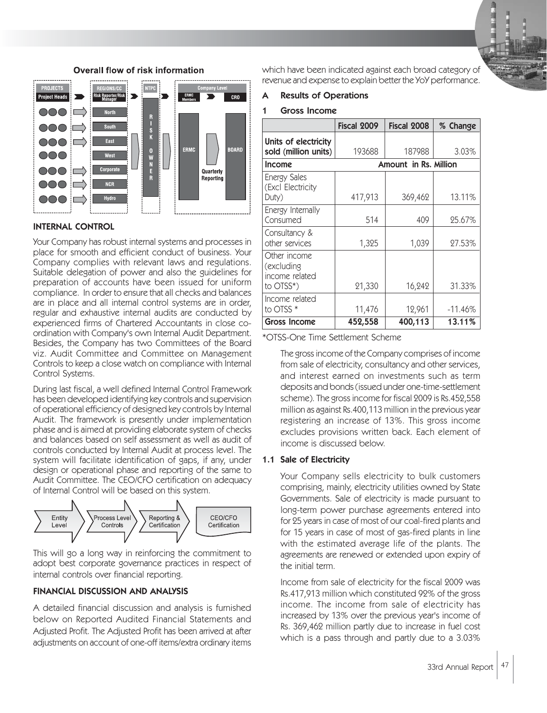



## **Overall flow of risk information**

### INTERNAL CONTROL

Your Company has robust internal systems and processes in place for smooth and efficient conduct of business. Your Company complies with relevant laws and regulations. Suitable delegation of power and also the guidelines for preparation of accounts have been issued for uniform compliance. In order to ensure that all checks and balances are in place and all internal control systems are in order, regular and exhaustive internal audits are conducted by experienced firms of Chartered Accountants in close coordination with Company's own Internal Audit Department. Besides, the Company has two Committees of the Board viz. Audit Committee and Committee on Management Controls to keep a close watch on compliance with Internal Control Systems.

During last fiscal, a well defined Internal Control Framework has been developed identifying key controls and supervision of operational efficiency of designed key controls by Internal Audit. The framework is presently under implementation phase and is aimed at providing elaborate system of checks and balances based on self assessment as well as audit of controls conducted by Internal Audit at process level. The system will facilitate identification of gaps, if any, under design or operational phase and reporting of the same to Audit Committee. The CEO/CFO certification on adequacy of Internal Control will be based on this system.



This will go a long way in reinforcing the commitment to adopt best corporate governance practices in respect of internal controls over financial reporting.

## FINANCIAL DISCUSSION AND ANALYSIS

A detailed financial discussion and analysis is furnished below on Reported Audited Financial Statements and Adjusted Profit. The Adjusted Profit has been arrived at after adjustments on account of one-off items/extra ordinary items

which have been indicated against each broad category of revenue and expense to explain better the YoY performance.

## A Results of Operations

#### 1 Gross Income

|                                                           | Fiscal 2009 | Fiscal 2008           | % Change  |
|-----------------------------------------------------------|-------------|-----------------------|-----------|
| Units of electricity<br>sold (million units)              | 193688      | 187988                | 3.03%     |
| Income                                                    |             | Amount in Rs. Million |           |
| <b>Energy Sales</b><br>(Excl Electricity<br>Duty)         | 417,913     | 369,462               | 13.11%    |
| Energy Internally<br>Consumed                             | 514         | 409                   | 25.67%    |
| Consultancy &<br>other services                           | 1,325       | 1,039                 | 27.53%    |
| Other income<br>excluding)<br>income related<br>to OTSS*) | 21,330      | 16,242                | 31.33%    |
| Income related<br>to OTSS <sup>*</sup>                    | 11,476      | 12,961                | $-11.46%$ |
| <b>Gross Income</b>                                       | 452,558     | 400,113               | 13.11%    |

\*OTSS-One Time Settlement Scheme

The gross income of the Company comprises of income from sale of electricity, consultancy and other services, and interest earned on investments such as term deposits and bonds (issued under one-time-settlement scheme). The gross income for fiscal 2009 is Rs.452,558 million as against Rs.400,113 million in the previous year registering an increase of 13%. This gross income excludes provisions written back. Each element of income is discussed below.

#### 1.1 Sale of Electricity

Your Company sells electricity to bulk customers comprising, mainly, electricity utilities owned by State Governments. Sale of electricity is made pursuant to long-term power purchase agreements entered into for 25 years in case of most of our coal-fired plants and for 15 years in case of most of gas-fired plants in line with the estimated average life of the plants. The agreements are renewed or extended upon expiry of the initial term.

Income from sale of electricity for the fiscal 2009 was Rs.417,913 million which constituted 92% of the gross income. The income from sale of electricity has increased by 13% over the previous year's income of Rs. 369,462 million partly due to increase in fuel cost which is a pass through and partly due to a 3.03%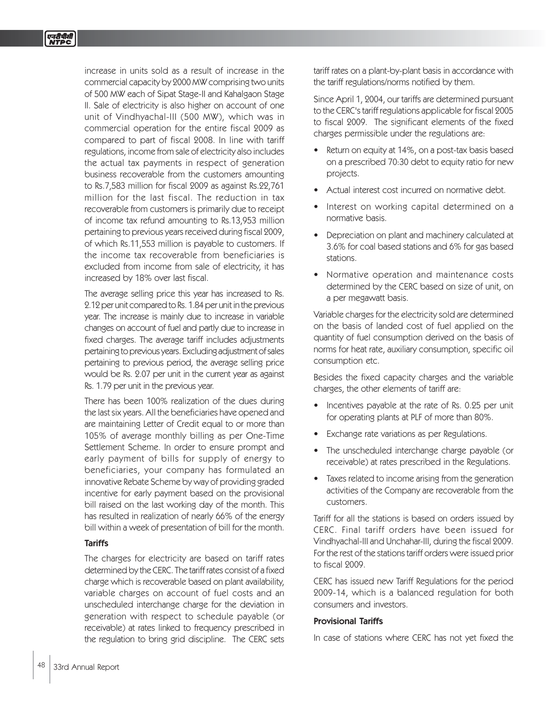increase in units sold as a result of increase in the commercial capacity by 2000 MW comprising two units of 500 MW each of Sipat Stage-II and Kahalgaon Stage II. Sale of electricity is also higher on account of one unit of Vindhyachal-III (500 MW), which was in commercial operation for the entire fiscal 2009 as compared to part of fiscal 2008. In line with tariff regulations, income from sale of electricity also includes the actual tax payments in respect of generation business recoverable from the customers amounting to Rs.7,583 million for fiscal 2009 as against Rs.22,761 million for the last fiscal. The reduction in tax recoverable from customers is primarily due to receipt of income tax refund amounting to Rs.13,953 million pertaining to previous years received during fiscal 2009, of which Rs.11,553 million is payable to customers. If the income tax recoverable from beneficiaries is excluded from income from sale of electricity, it has increased by 18% over last fiscal.

The average selling price this year has increased to Rs. 2.12 per unit compared to Rs. 1.84 per unit in the previous year. The increase is mainly due to increase in variable changes on account of fuel and partly due to increase in fixed charges. The average tariff includes adjustments pertaining to previous years. Excluding adjustment of sales pertaining to previous period, the average selling price would be Rs. 2.07 per unit in the current year as against Rs. 1.79 per unit in the previous year.

There has been 100% realization of the dues during the last six years. All the beneficiaries have opened and are maintaining Letter of Credit equal to or more than 105% of average monthly billing as per One-Time Settlement Scheme. In order to ensure prompt and early payment of bills for supply of energy to beneficiaries, your company has formulated an innovative Rebate Scheme by way of providing graded incentive for early payment based on the provisional bill raised on the last working day of the month. This has resulted in realization of nearly 66% of the energy bill within a week of presentation of bill for the month.

#### **Tariffs**

The charges for electricity are based on tariff rates determined by the CERC. The tariff rates consist of a fixed charge which is recoverable based on plant availability, variable charges on account of fuel costs and an unscheduled interchange charge for the deviation in generation with respect to schedule payable (or receivable) at rates linked to frequency prescribed in the regulation to bring grid discipline. The CERC sets

tariff rates on a plant-by-plant basis in accordance with the tariff regulations/norms notified by them.

Since April 1, 2004, our tariffs are determined pursuant to the CERC's tariff regulations applicable for fiscal 2005 to fiscal 2009. The significant elements of the fixed charges permissible under the regulations are:

- Return on equity at 14%, on a post-tax basis based on a prescribed 70:30 debt to equity ratio for new projects.
- Actual interest cost incurred on normative debt.
- Interest on working capital determined on a normative basis.
- Depreciation on plant and machinery calculated at 3.6% for coal based stations and 6% for gas based stations.
- Normative operation and maintenance costs determined by the CERC based on size of unit, on a per megawatt basis.

Variable charges for the electricity sold are determined on the basis of landed cost of fuel applied on the quantity of fuel consumption derived on the basis of norms for heat rate, auxiliary consumption, specific oil consumption etc.

Besides the fixed capacity charges and the variable charges, the other elements of tariff are:

- Incentives payable at the rate of Rs. 0.25 per unit for operating plants at PLF of more than 80%.
- Exchange rate variations as per Regulations.
- The unscheduled interchange charge payable (or receivable) at rates prescribed in the Regulations.
- Taxes related to income arising from the generation activities of the Company are recoverable from the customers.

Tariff for all the stations is based on orders issued by CERC. Final tariff orders have been issued for Vindhyachal-III and Unchahar-III, during the fiscal 2009. For the rest of the stations tariff orders were issued prior to fiscal 2009.

CERC has issued new Tariff Regulations for the period 2009-14, which is a balanced regulation for both consumers and investors.

# Provisional Tariffs

In case of stations where CERC has not yet fixed the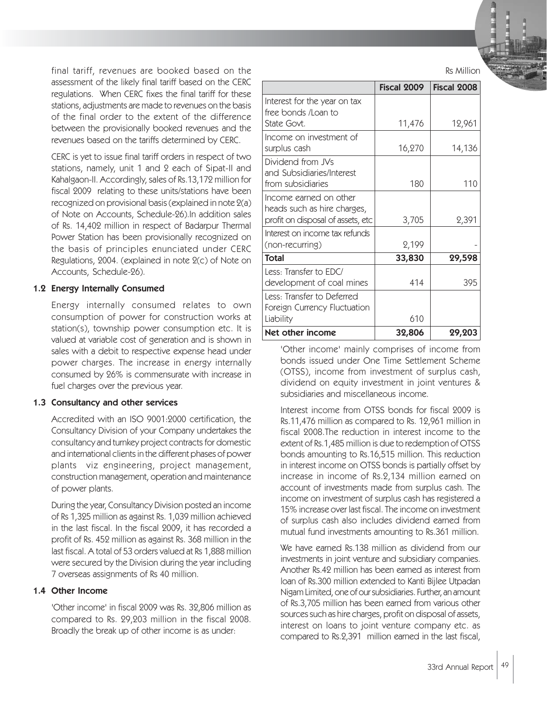final tariff, revenues are booked based on the assessment of the likely final tariff based on the CERC regulations. When CERC fixes the final tariff for these stations, adjustments are made to revenues on the basis of the final order to the extent of the difference between the provisionally booked revenues and the revenues based on the tariffs determined by CERC.

CERC is yet to issue final tariff orders in respect of two stations, namely, unit 1 and 2 each of Sipat-II and Kahalgaon-II. Accordingly, sales of Rs.13,172 million for fiscal 2009 relating to these units/stations have been recognized on provisional basis (explained in note 2(a) of Note on Accounts, Schedule-26).In addition sales of Rs. 14,402 million in respect of Badarpur Thermal Power Station has been provisionally recognized on the basis of principles enunciated under CERC Regulations, 2004. (explained in note 2(c) of Note on Accounts, Schedule-26).

## 1.2 Energy Internally Consumed

Energy internally consumed relates to own consumption of power for construction works at station(s), township power consumption etc. It is valued at variable cost of generation and is shown in sales with a debit to respective expense head under power charges. The increase in energy internally consumed by 26% is commensurate with increase in fuel charges over the previous year.

#### 1.3 Consultancy and other services

Accredited with an ISO 9001:2000 certification, the Consultancy Division of your Company undertakes the consultancy and turnkey project contracts for domestic and international clients in the different phases of power plants viz engineering, project management, construction management, operation and maintenance of power plants.

During the year, Consultancy Division posted an income of Rs 1,325 million as against Rs. 1,039 million achieved in the last fiscal. In the fiscal 2009, it has recorded a profit of Rs. 452 million as against Rs. 368 million in the last fiscal. A total of 53 orders valued at Rs 1,888 million were secured by the Division during the year including 7 overseas assignments of Rs 40 million.

#### 1.4 Other Income

'Other income' in fiscal 2009 was Rs. 32,806 million as compared to Rs. 29,203 million in the fiscal 2008. Broadly the break up of other income is as under:

| Rs Million |  |
|------------|--|
|            |  |

|                                   | <b>Fiscal 2009</b> | <b>Fiscal 2008</b> |
|-----------------------------------|--------------------|--------------------|
| Interest for the year on tax      |                    |                    |
| free bonds /Loan to               |                    |                    |
| State Govt.                       | 11,476             | 12,961             |
| Income on investment of           |                    |                    |
| surplus cash                      | 16,270             | 14,136             |
| Dividend from JVs                 |                    |                    |
| and Subsidiaries/Interest         |                    |                    |
| from subsidiaries                 | 180                | 110                |
| Income earned on other            |                    |                    |
| heads such as hire charges,       |                    |                    |
| profit on disposal of assets, etc | 3,705              | 2,391              |
| Interest on income tax refunds    |                    |                    |
| (non-recurring)                   | 2,199              |                    |
| <b>Total</b>                      | 33,830             | 29,598             |
| Less: Transfer to EDC/            |                    |                    |
| development of coal mines         | 414                | 395                |
| Less: Transfer to Deferred        |                    |                    |
| Foreign Currency Fluctuation      |                    |                    |
| Liability                         | 610                |                    |
| Net other income                  | 32,806             | 29,203             |

'Other income' mainly comprises of income from bonds issued under One Time Settlement Scheme (OTSS), income from investment of surplus cash, dividend on equity investment in joint ventures & subsidiaries and miscellaneous income.

Interest income from OTSS bonds for fiscal 2009 is Rs.11,476 million as compared to Rs. 12,961 million in fiscal 2008.The reduction in interest income to the extent of Rs.1,485 million is due to redemption of OTSS bonds amounting to Rs.16,515 million. This reduction in interest income on OTSS bonds is partially offset by increase in income of Rs.2,134 million earned on account of investments made from surplus cash. The income on investment of surplus cash has registered a 15% increase over last fiscal. The income on investment of surplus cash also includes dividend earned from mutual fund investments amounting to Rs.361 million.

We have earned Rs.138 million as dividend from our investments in joint venture and subsidiary companies. Another Rs.42 million has been earned as interest from loan of Rs.300 million extended to Kanti Bijlee Utpadan Nigam Limited, one of our subsidiaries. Further, an amount of Rs.3,705 million has been earned from various other sources such as hire charges, profit on disposal of assets, interest on loans to joint venture company etc. as compared to Rs.2,391 million earned in the last fiscal,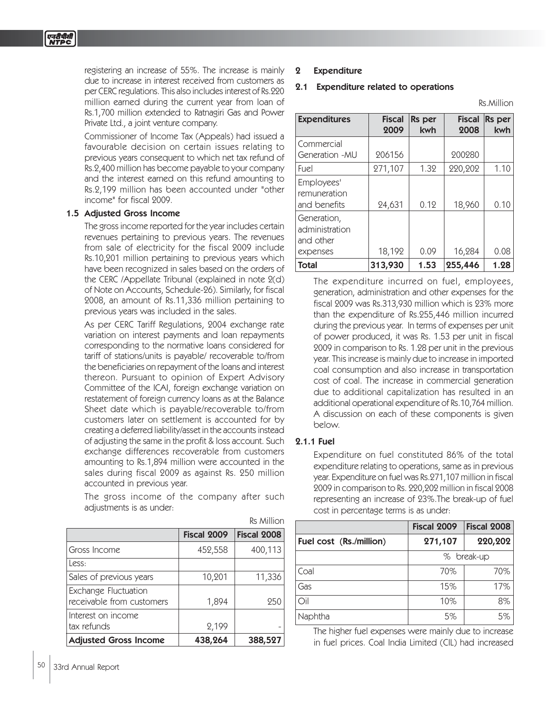registering an increase of 55%. The increase is mainly due to increase in interest received from customers as per CERC regulations. This also includes interest of Rs.220 million earned during the current year from loan of Rs.1,700 million extended to Ratnagiri Gas and Power Private Ltd., a joint venture company.

Commissioner of Income Tax (Appeals) had issued a favourable decision on certain issues relating to previous years consequent to which net tax refund of Rs.2,400 million has become payable to your company and the interest earned on this refund amounting to Rs.2,199 million has been accounted under "other income" for fiscal 2009.

#### 1.5 Adjusted Gross Income

The gross income reported for the year includes certain revenues pertaining to previous years. The revenues from sale of electricity for the fiscal 2009 include Rs.10,201 million pertaining to previous years which have been recognized in sales based on the orders of the CERC /Appellate Tribunal (explained in note 2(d) of Note on Accounts, Schedule-26). Similarly, for fiscal 2008, an amount of Rs.11,336 million pertaining to previous years was included in the sales.

As per CERC Tariff Regulations, 2004 exchange rate variation on interest payments and loan repayments corresponding to the normative loans considered for tariff of stations/units is payable/ recoverable to/from the beneficiaries on repayment of the loans and interest thereon. Pursuant to opinion of Expert Advisory Committee of the ICAI, foreign exchange variation on restatement of foreign currency loans as at the Balance Sheet date which is payable/recoverable to/from customers later on settlement is accounted for by creating a deferred liability/asset in the accounts instead of adjusting the same in the profit & loss account. Such exchange differences recoverable from customers amounting to Rs.1,894 million were accounted in the sales during fiscal 2009 as against Rs. 250 million accounted in previous year.

The gross income of the company after such adjustments is as under:

|                                                          | Fiscal 2009 | Fiscal 2008 |
|----------------------------------------------------------|-------------|-------------|
| Gross Income                                             | 452,558     | 400,113     |
| Less:                                                    |             |             |
| Sales of previous years                                  | 10,201      | 11,336      |
| <b>Exchange Fluctuation</b><br>receivable from customers | 1,894       | 250         |
| Interest on income<br>tax refunds                        | 2,199       |             |
| <b>Adjusted Gross Income</b>                             | 438,264     | 388,527     |

#### 2 Expenditure

#### 2.1 Expenditure related to operations

|  | Rs.Million |
|--|------------|
|  |            |
|  |            |
|  |            |

| <b>Expenditures</b>                                    | <b>Fiscal</b><br>2009 | Rs per<br>kwh | <b>Fiscal</b><br>2008 | Rs per<br>kwh |
|--------------------------------------------------------|-----------------------|---------------|-----------------------|---------------|
| Commercial<br>Generation -MU                           | 206156                |               | 200280                |               |
| Fuel                                                   | 271,107               | 1.32          | 220,202               | 1.10          |
| Employees'<br>remuneration<br>and benefits             | 24,631                | 0.12          | 18,960                | 0.10          |
| Generation,<br>administration<br>and other<br>expenses | 18,192                | 0.09          | 16,284                | 0.08          |
| <b>Total</b>                                           | 313,930               | 1.53          | 255,446               | 1.28          |

The expenditure incurred on fuel, employees, generation, administration and other expenses for the fiscal 2009 was Rs.313,930 million which is 23% more than the expenditure of Rs.255,446 million incurred during the previous year. In terms of expenses per unit of power produced, it was Rs. 1.53 per unit in fiscal 2009 in comparison to Rs. 1.28 per unit in the previous year. This increase is mainly due to increase in imported coal consumption and also increase in transportation cost of coal. The increase in commercial generation due to additional capitalization has resulted in an additional operational expenditure of Rs.10,764 million. A discussion on each of these components is given below.

#### 2.1.1 Fuel

Rs Million

Expenditure on fuel constituted 86% of the total expenditure relating to operations, same as in previous year. Expenditure on fuel was Rs.271,107 million in fiscal 2009 in comparison to Rs. 220,202 million in fiscal 2008 representing an increase of 23%.The break-up of fuel cost in percentage terms is as under:

|                         | Fiscal 2009        | Fiscal 2008 |  |  |
|-------------------------|--------------------|-------------|--|--|
| Fuel cost (Rs./million) | 220,202<br>271,107 |             |  |  |
|                         | % break-up         |             |  |  |
| Coal                    | 70%                | 70%         |  |  |
| Gas                     | 15%                | 17%         |  |  |
| Oil                     | 10%                | 8%          |  |  |
| Naphtha                 | 5%                 | 5%          |  |  |

The higher fuel expenses were mainly due to increase in fuel prices. Coal India Limited (CIL) had increased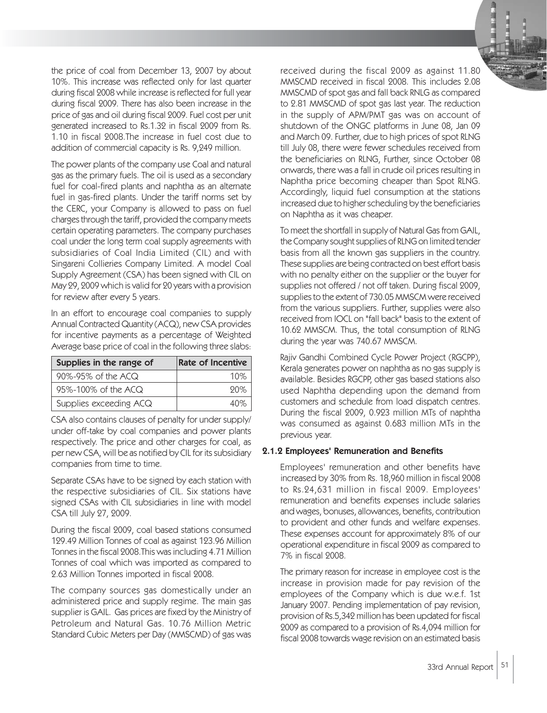the price of coal from December 13, 2007 by about 10%. This increase was reflected only for last quarter during fiscal 2008 while increase is reflected for full year during fiscal 2009. There has also been increase in the price of gas and oil during fiscal 2009. Fuel cost per unit generated increased to Rs.1.32 in fiscal 2009 from Rs. 1.10 in fiscal 2008.The increase in fuel cost due to addition of commercial capacity is Rs. 9,249 million.

The power plants of the company use Coal and natural gas as the primary fuels. The oil is used as a secondary fuel for coal-fired plants and naphtha as an alternate fuel in gas-fired plants. Under the tariff norms set by the CERC, your Company is allowed to pass on fuel charges through the tariff, provided the company meets certain operating parameters. The company purchases coal under the long term coal supply agreements with subsidiaries of Coal India Limited (CIL) and with Singareni Collieries Company Limited. A model Coal Supply Agreement (CSA) has been signed with CIL on May 29, 2009 which is valid for 20 years with a provision for review after every 5 years.

In an effort to encourage coal companies to supply Annual Contracted Quantity (ACQ), new CSA provides for incentive payments as a percentage of Weighted Average base price of coal in the following three slabs:

| Supplies in the range of | <b>Rate of Incentive</b> |
|--------------------------|--------------------------|
| 90%-95% of the ACQ       | 1ሰ%                      |
| 95%-100% of the ACQ      | 90%                      |
| Supplies exceeding ACQ   | 40 V                     |

CSA also contains clauses of penalty for under supply/ under off-take by coal companies and power plants respectively. The price and other charges for coal, as per new CSA, will be as notified by CIL for its subsidiary companies from time to time.

Separate CSAs have to be signed by each station with the respective subsidiaries of CIL. Six stations have signed CSAs with CIL subsidiaries in line with model CSA till July 27, 2009.

During the fiscal 2009, coal based stations consumed 129.49 Million Tonnes of coal as against 123.96 Million Tonnes in the fiscal 2008.This was including 4.71 Million Tonnes of coal which was imported as compared to 2.63 Million Tonnes imported in fiscal 2008.

The company sources gas domestically under an administered price and supply regime. The main gas supplier is GAIL. Gas prices are fixed by the Ministry of Petroleum and Natural Gas. 10.76 Million Metric Standard Cubic Meters per Day (MMSCMD) of gas was

received during the fiscal 2009 as against 11.80 MMSCMD received in fiscal 2008. This includes 2.08 MMSCMD of spot gas and fall back RNLG as compared to 2.81 MMSCMD of spot gas last year. The reduction in the supply of APM/PMT gas was on account of shutdown of the ONGC platforms in June 08, Jan 09 and March 09. Further, due to high prices of spot RLNG till July 08, there were fewer schedules received from the beneficiaries on RLNG, Further, since October 08 onwards, there was a fall in crude oil prices resulting in Naphtha price becoming cheaper than Spot RLNG. Accordingly, liquid fuel consumption at the stations increased due to higher scheduling by the beneficiaries on Naphtha as it was cheaper.

To meet the shortfall in supply of Natural Gas from GAIL, the Company sought supplies of RLNG on limited tender basis from all the known gas suppliers in the country. These supplies are being contracted on best effort basis with no penalty either on the supplier or the buyer for supplies not offered / not off taken. During fiscal 2009, supplies to the extent of 730.05 MMSCM were received from the various suppliers. Further, supplies were also received from IOCL on "fall back" basis to the extent of 10.62 MMSCM. Thus, the total consumption of RLNG during the year was 740.67 MMSCM.

Rajiv Gandhi Combined Cycle Power Project (RGCPP), Kerala generates power on naphtha as no gas supply is available. Besides RGCPP, other gas based stations also used Naphtha depending upon the demand from customers and schedule from load dispatch centres. During the fiscal 2009, 0.923 million MTs of naphtha was consumed as against 0.683 million MTs in the previous year.

#### 2.1.2 Employees' Remuneration and Benefits

Employees' remuneration and other benefits have increased by 30% from Rs. 18,960 million in fiscal 2008 to Rs.24,631 million in fiscal 2009. Employees' remuneration and benefits expenses include salaries and wages, bonuses, allowances, benefits, contribution to provident and other funds and welfare expenses. These expenses account for approximately 8% of our operational expenditure in fiscal 2009 as compared to 7% in fiscal 2008.

The primary reason for increase in employee cost is the increase in provision made for pay revision of the employees of the Company which is due w.e.f. 1st January 2007. Pending implementation of pay revision, provision of Rs.5,342 million has been updated for fiscal 2009 as compared to a provision of Rs.4,094 million for fiscal 2008 towards wage revision on an estimated basis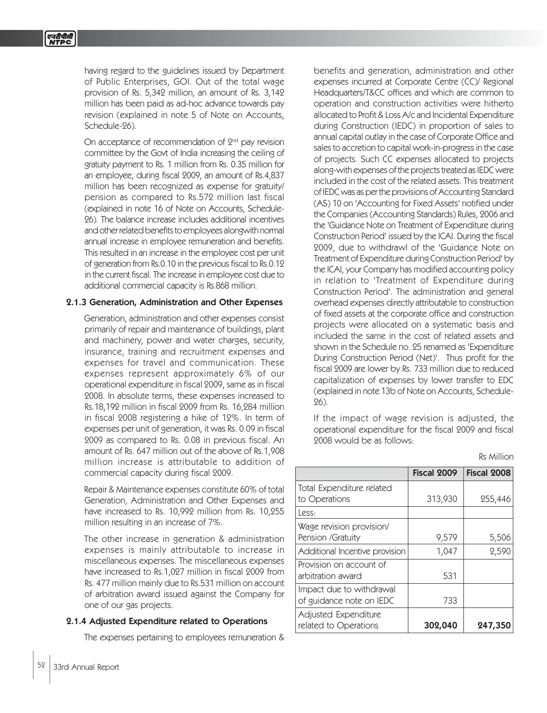having regard to the guidelines issued by Department of Public Enterprises, GOI. Out of the total wage provision of Rs. 5,342 million, an amount of Rs. 3,142 million has been paid as ad-hoc advance towards pay revision (explained in note 5 of Note on Accounts, Schedule-26).

On acceptance of recommendation of 2<sup>nd</sup> pay revision committee by the Govt of India increasing the ceiling of gratuity payment to Rs. 1 million from Rs. 0.35 million for an employee, during fiscal 2009, an amount of Rs.4,837 million has been recognized as expense for gratuity/ pension as compared to Rs.572 million last fiscal (explained in note 16 of Note on Accounts, Schedule-26). The balance increase includes additional incentives and other related benefits to employees alongwith normal annual increase in employee remuneration and benefits. This resulted in an increase in the employee cost per unit of generation from Rs.0.10 in the previous fiscal to Rs.0.12 in the current fiscal. The increase in employee cost due to additional commercial capacity is Rs.868 million.

#### 2.1.3 Generation, Administration and Other Expenses

Generation, administration and other expenses consist primarily of repair and maintenance of buildings, plant and machinery, power and water charges, security, insurance, training and recruitment expenses and expenses for travel and communication. These expenses represent approximately 6% of our operational expenditure in fiscal 2009, same as in fiscal 2008. In absolute terms, these expenses increased to Rs.18,192 million in fiscal 2009 from Rs. 16,284 million in fiscal 2008 registering a hike of 12%. In term of expenses per unit of generation, it was Rs. 0.09 in fiscal 2009 as compared to Rs. 0.08 in previous fiscal. An amount of Rs. 647 million out of the above of Rs.1,908 million increase is attributable to addition of commercial capacity during fiscal 2009.

Repair & Maintenance expenses constitute 60% of total Generation, Administration and Other Expenses and have increased to Rs. 10,992 million from Rs. 10,255 million resulting in an increase of 7%.

The other increase in generation & administration expenses is mainly attributable to increase in miscellaneous expenses. The miscellaneous expenses have increased to Rs.1,027 million in fiscal 2009 from Rs. 477 million mainly due to Rs.531 million on account of arbitration award issued against the Company for one of our gas projects.

#### 2.1.4 Adjusted Expenditure related to Operations

The expenses pertaining to employees remuneration &

benefits and generation, administration and other expenses incurred at Corporate Centre (CC)/ Regional Headquarters/T&CC offices and which are common to operation and construction activities were hitherto allocated to Profit & Loss A/c and Incidental Expenditure during Construction (IEDC) in proportion of sales to annual capital outlay in the case of Corporate Office and sales to accretion to capital work-in-progress in the case of projects. Such CC expenses allocated to projects along-with expenses of the projects treated as IEDC were included in the cost of the related assets. This treatment of IEDC was as per the provisions of Accounting Standard (AS) 10 on 'Accounting for Fixed Assets' notified under the Companies (Accounting Standards) Rules, 2006 and the 'Guidance Note on Treatment of Expenditure during Construction Period' issued by the ICAI. During the fiscal 2009, due to withdrawl of the 'Guidance Note on Treatment of Expenditure during Construction Period' by the ICAI, your Company has modified accounting policy in relation to 'Treatment of Expenditure during Construction Period'. The administration and general overhead expenses directly attributable to construction of fixed assets at the corporate office and construction projects were allocated on a systematic basis and included the same in the cost of related assets and shown in the Schedule no. 25 renamed as 'Expenditure During Construction Period (Net)'. Thus profit for the fiscal 2009 are lower by Rs. 733 million due to reduced capitalization of expenses by lower transfer to EDC (explained in note 13b of Note on Accounts, Schedule-26).

If the impact of wage revision is adjusted, the operational expenditure for the fiscal 2009 and fiscal 2008 would be as follows:

Rs Million

|                                                      | <b>Fiscal 2009</b> | <b>Fiscal 2008</b> |
|------------------------------------------------------|--------------------|--------------------|
| Total Expenditure related<br>to Operations           | 313,930            | 255,446            |
| Less:                                                |                    |                    |
| Wage revision provision/<br>Pension /Gratuity        | 9,579              | 5,506              |
| Additional Incentive provision                       | 1,047              | 2,590              |
| Provision on account of<br>arbitration award         | 531                |                    |
| Impact due to withdrawal<br>of guidance note on IEDC | 733                |                    |
| Adjusted Expenditure<br>related to Operations        | 302,040            | 247,350            |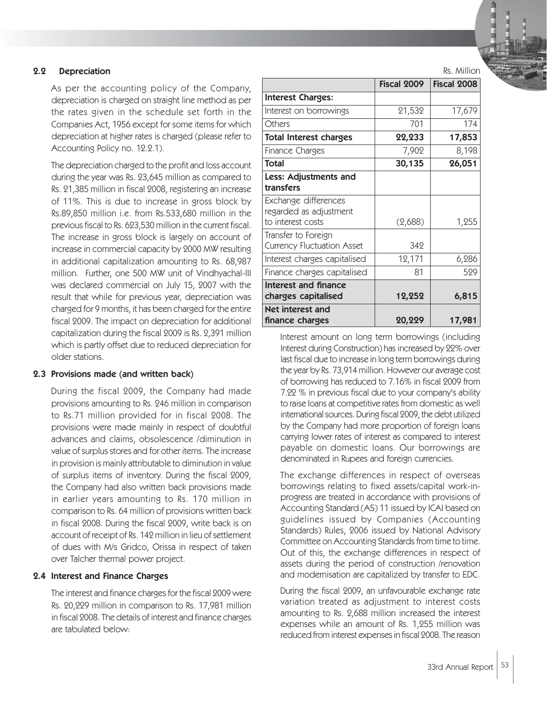2.2 Depreciation

As per the accounting policy of the Company, depreciation is charged on straight line method as per the rates given in the schedule set forth in the Companies Act, 1956 except for some items for which depreciation at higher rates is charged (please refer to Accounting Policy no. 12.2.1).

The depreciation charged to the profit and loss account during the year was Rs. 23,645 million as compared to Rs. 21,385 million in fiscal 2008, registering an increase of 11%. This is due to increase in gross block by Rs.89,850 million i.e. from Rs.533,680 million in the previous fiscal to Rs. 623,530 million in the current fiscal. The increase in gross block is largely on account of increase in commercial capacity by 2000 MW resulting in additional capitalization amounting to Rs. 68,987 million. Further, one 500 MW unit of Vindhyachal-III was declared commercial on July 15, 2007 with the result that while for previous year, depreciation was charged for 9 months, it has been charged for the entire fiscal 2009. The impact on depreciation for additional capitalization during the fiscal 2009 is Rs. 2,391 million which is partly offset due to reduced depreciation for older stations.

### 2.3 Provisions made (and written back)

During the fiscal 2009, the Company had made provisions amounting to Rs. 246 million in comparison to Rs.71 million provided for in fiscal 2008. The provisions were made mainly in respect of doubtful advances and claims, obsolescence /diminution in value of surplus stores and for other items. The increase in provision is mainly attributable to diminution in value of surplus items of inventory. During the fiscal 2009, the Company had also written back provisions made in earlier years amounting to Rs. 170 million in comparison to Rs. 64 million of provisions written back in fiscal 2008. During the fiscal 2009, write back is on account of receipt of Rs. 142 million in lieu of settlement of dues with M/s Gridco, Orissa in respect of taken over Talcher thermal power project.

#### 2.4 Interest and Finance Charges

The interest and finance charges for the fiscal 2009 were Rs. 20,229 million in comparison to Rs. 17,981 million in fiscal 2008. The details of interest and finance charges are tabulated below:

|                                   | Fiscal 2009 | <b>Fiscal 2008</b> |
|-----------------------------------|-------------|--------------------|
| <b>Interest Charges:</b>          |             |                    |
| Interest on borrowings            | 21,532      | 17,679             |
| Others                            | 701         | 174                |
| <b>Total Interest charges</b>     | 22,233      | 17,853             |
| Finance Charges                   | 7,902       | 8,198              |
| Total                             | 30,135      | 26,051             |
| Less: Adjustments and             |             |                    |
| transfers                         |             |                    |
| Exchange differences              |             |                    |
| regarded as adjustment            |             |                    |
| to interest costs                 | (2,688)     | 1,255              |
| Transfer to Foreign               |             |                    |
| <b>Currency Fluctuation Asset</b> | 342         |                    |
| Interest charges capitalised      | 12,171      | 6,286              |
| Finance charges capitalised       | 81          | 529                |
| Interest and finance              |             |                    |
| charges capitalised               | 12,252      | 6,815              |
| Net interest and                  |             |                    |
| finance charges                   | 20,229      | 17,981             |

Rs. Million

Interest amount on long term borrowings (including Interest during Construction) has increased by 22% over last fiscal due to increase in long term borrowings during the year by Rs. 73,914 million. However our average cost of borrowing has reduced to 7.16% in fiscal 2009 from 7.22 % in previous fiscal due to your company's ability to raise loans at competitive rates from domestic as well international sources. During fiscal 2009, the debt utilized by the Company had more proportion of foreign loans carrying lower rates of interest as compared to interest payable on domestic loans. Our borrowings are denominated in Rupees and foreign currencies.

The exchange differences in respect of overseas borrowings relating to fixed assets/capital work-inprogress are treated in accordance with provisions of Accounting Standard (AS) 11 issued by ICAI based on guidelines issued by Companies (Accounting Standards) Rules, 2006 issued by National Advisory Committee on Accounting Standards from time to time. Out of this, the exchange differences in respect of assets during the period of construction /renovation and modernisation are capitalized by transfer to EDC.

During the fiscal 2009, an unfavourable exchange rate variation treated as adjustment to interest costs amounting to Rs. 2,688 million increased the interest expenses while an amount of Rs. 1,255 million was reduced from interest expenses in fiscal 2008. The reason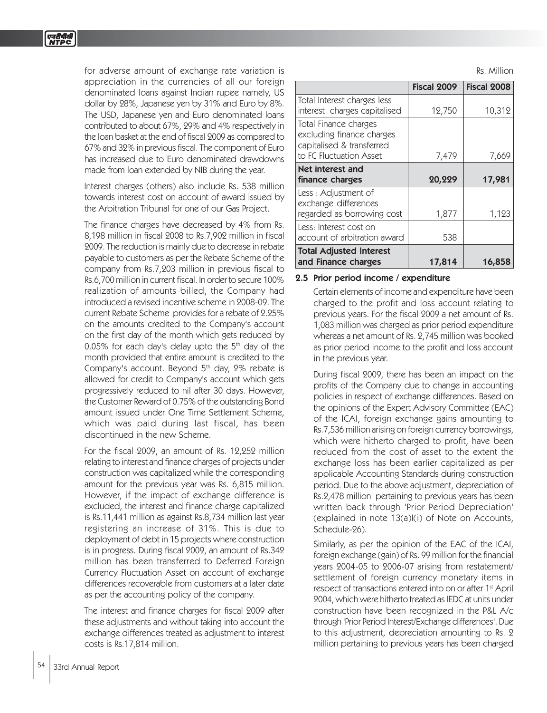for adverse amount of exchange rate variation is appreciation in the currencies of all our foreign denominated loans against Indian rupee namely, US dollar by 28%, Japanese yen by 31% and Euro by 8%. The USD, Japanese yen and Euro denominated loans contributed to about 67%, 29% and 4% respectively in the loan basket at the end of fiscal 2009 as compared to 67% and 32% in previous fiscal. The component of Euro has increased due to Euro denominated drawdowns made from loan extended by NIB during the year.

Interest charges (others) also include Rs. 538 million towards interest cost on account of award issued by the Arbitration Tribunal for one of our Gas Project.

The finance charges have decreased by 4% from Rs. 8,198 million in fiscal 2008 to Rs.7,902 million in fiscal 2009. The reduction is mainly due to decrease in rebate payable to customers as per the Rebate Scheme of the company from Rs.7,203 million in previous fiscal to Rs.6,700 million in current fiscal. In order to secure 100% realization of amounts billed, the Company had introduced a revised incentive scheme in 2008-09. The current Rebate Scheme provides for a rebate of 2.25% on the amounts credited to the Company's account on the first day of the month which gets reduced by  $0.05\%$  for each day's delay upto the  $5<sup>th</sup>$  day of the month provided that entire amount is credited to the Company's account. Beyond  $5<sup>th</sup>$  day, 2% rebate is allowed for credit to Company's account which gets progressively reduced to nil after 30 days. However, the Customer Reward of 0.75% of the outstanding Bond amount issued under One Time Settlement Scheme, which was paid during last fiscal, has been discontinued in the new Scheme.

For the fiscal 2009, an amount of Rs. 12,252 million relating to interest and finance charges of projects under construction was capitalized while the corresponding amount for the previous year was Rs. 6,815 million. However, if the impact of exchange difference is excluded, the interest and finance charge capitalized is Rs.11,441 million as against Rs.8,734 million last year registering an increase of 31%. This is due to deployment of debt in 15 projects where construction is in progress. During fiscal 2009, an amount of Rs.342 million has been transferred to Deferred Foreign Currency Fluctuation Asset on account of exchange differences recoverable from customers at a later date as per the accounting policy of the company.

The interest and finance charges for fiscal 2009 after these adjustments and without taking into account the exchange differences treated as adjustment to interest costs is Rs.17,814 million.

Rs. Million

|                                                                                 | Fiscal 2009 | <b>Fiscal 2008</b> |
|---------------------------------------------------------------------------------|-------------|--------------------|
| Total Interest charges less                                                     |             |                    |
| interest charges capitalised                                                    | 12,750      | 10,312             |
| Total Finance charges<br>excluding finance charges<br>capitalised & transferred |             |                    |
| to FC Fluctuation Asset                                                         | 7,479       | 7,669              |
| Net interest and                                                                |             |                    |
| finance charges                                                                 | 20,229      | 17,981             |
| Less: Adjustment of<br>exchange differences<br>regarded as borrowing cost       | 1,877       | 1,123              |
| Less: Interest cost on<br>account of arbitration award                          | 538         |                    |
| <b>Total Adjusted Interest</b><br>and Finance charges                           | 17,814      | 16,858             |

#### 2.5 Prior period income / expenditure

Certain elements of income and expenditure have been charged to the profit and loss account relating to previous years. For the fiscal 2009 a net amount of Rs. 1,083 million was charged as prior period expenditure whereas a net amount of Rs. 2,745 million was booked as prior period income to the profit and loss account in the previous year.

During fiscal 2009, there has been an impact on the profits of the Company due to change in accounting policies in respect of exchange differences. Based on the opinions of the Expert Advisory Committee (EAC) of the ICAI, foreign exchange gains amounting to Rs.7,536 million arising on foreign currency borrowings, which were hitherto charged to profit, have been reduced from the cost of asset to the extent the exchange loss has been earlier capitalized as per applicable Accounting Standards during construction period. Due to the above adjustment, depreciation of Rs.2,478 million pertaining to previous years has been written back through 'Prior Period Depreciation' (explained in note 13(a)I(i) of Note on Accounts, Schedule-26).

Similarly, as per the opinion of the EAC of the ICAI, foreign exchange (gain) of Rs. 99 million for the financial years 2004-05 to 2006-07 arising from restatement/ settlement of foreign currency monetary items in respect of transactions entered into on or after 1<sup>st</sup> April 2004, which were hitherto treated as IEDC at units under construction have been recognized in the P&L A/c through 'Prior Period Interest/Exchange differences'. Due to this adjustment, depreciation amounting to Rs. 2 million pertaining to previous years has been charged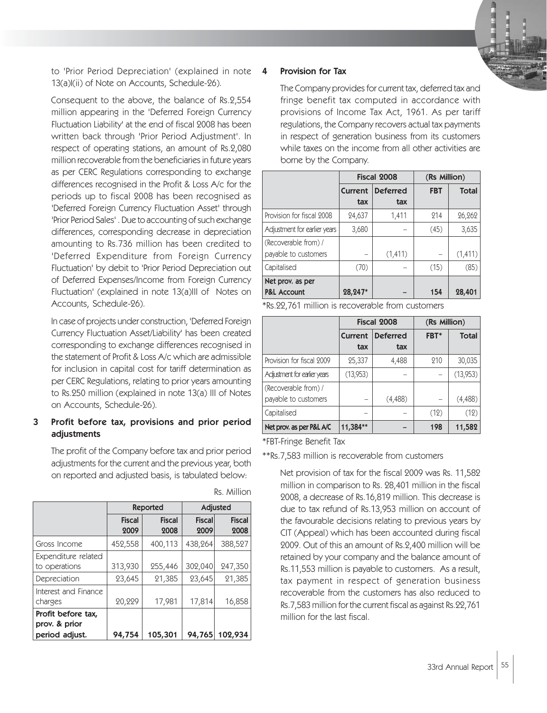

to 'Prior Period Depreciation' (explained in note 4 13(a)I(ii) of Note on Accounts, Schedule-26).

Consequent to the above, the balance of Rs.2,554 million appearing in the 'Deferred Foreign Currency Fluctuation Liability' at the end of fiscal 2008 has been written back through 'Prior Period Adjustment'. In respect of operating stations, an amount of Rs.2,080 million recoverable from the beneficiaries in future years as per CERC Regulations corresponding to exchange differences recognised in the Profit & Loss A/c for the periods up to fiscal 2008 has been recognised as 'Deferred Foreign Currency Fluctuation Asset' through 'Prior Period Sales' . Due to accounting of such exchange differences, corresponding decrease in depreciation amounting to Rs.736 million has been credited to 'Deferred Expenditure from Foreign Currency Fluctuation' by debit to 'Prior Period Depreciation out of Deferred Expenses/Income from Foreign Currency Fluctuation' (explained in note 13(a)III of Notes on Accounts, Schedule-26).

In case of projects under construction, 'Deferred Foreign Currency Fluctuation Asset/Liability' has been created corresponding to exchange differences recognised in the statement of Profit & Loss A/c which are admissible for inclusion in capital cost for tariff determination as per CERC Regulations, relating to prior years amounting to Rs.250 million (explained in note 13(a) III of Notes on Accounts, Schedule-26).

# 3 Profit before tax, provisions and prior period adjustments

The profit of the Company before tax and prior period adjustments for the current and the previous year, both on reported and adjusted basis, is tabulated below:

|                      | <b>Reported</b> |               | <b>Adjusted</b> |               |
|----------------------|-----------------|---------------|-----------------|---------------|
|                      | <b>Fiscal</b>   | <b>Fiscal</b> | <b>Fiscal</b>   | <b>Fiscal</b> |
|                      | 2009            | 2008          | 2009            | 2008          |
| Gross Income         | 452,558         | 400,113       | 438,264         | 388,527       |
| Expenditure related  |                 |               |                 |               |
| to operations        | 313,930         | 255,446       | 302,040         | 247,350       |
| Depreciation         | 23,645          | 21,385        | 23,645          | 21,385        |
| Interest and Finance |                 |               |                 |               |
| charges              | 20,229          | 17,981        | 17,814          | 16,858        |
| Profit before tax,   |                 |               |                 |               |
| prov. & prior        |                 |               |                 |               |
| period adjust.       | 94,754          | 105,301       | 94,765          | 102,934       |

Rs. Million

#### Provision for Tax

The Company provides for current tax, deferred tax and fringe benefit tax computed in accordance with provisions of Income Tax Act, 1961. As per tariff regulations, the Company recovers actual tax payments in respect of generation business from its customers while taxes on the income from all other activities are borne by the Company.

|                                              | Fiscal 2008    |                        | (Rs Million) |              |
|----------------------------------------------|----------------|------------------------|--------------|--------------|
|                                              | Current<br>tax | <b>Deferred</b><br>tax | <b>FBT</b>   | <b>Total</b> |
| Provision for fiscal 2008                    | 24,637         | 1,411                  | 214          | 26,262       |
| Adjustment for earlier years                 | 3,680          |                        | (45)         | 3,635        |
| (Recoverable from) /<br>payable to customers |                | (1,411)                |              | (1, 411)     |
| Capitalised                                  | (70)           |                        | (15)         | (85)         |
| Net prov. as per<br><b>P&amp;L Account</b>   | 28,247*        |                        | 154          | 28,401       |

\*Rs.22,761 million is recoverable from customers

|                              | Fiscal 2008    |                 | (Rs Million) |              |
|------------------------------|----------------|-----------------|--------------|--------------|
|                              | <b>Current</b> | <b>Deferred</b> | FBT*         | <b>Total</b> |
|                              | tax            | tax             |              |              |
| Provision for fiscal 2009    | 25,337         | 4,488           | 210          | 30,035       |
| Adjustment for earlier years | (13,953)       |                 |              | (13,953)     |
| (Recoverable from) /         |                |                 |              |              |
| payable to customers         |                | (4,488)         |              | (4,488)      |
| Capitalised                  | -              |                 | (12)         | (12)         |
| Net prov. as per P&L A/C     | 11,384**       |                 | 198          | 11,582       |

\*FBT-Fringe Benefit Tax

\*\*Rs.7,583 million is recoverable from customers

Net provision of tax for the fiscal 2009 was Rs. 11,582 million in comparison to Rs. 28,401 million in the fiscal 2008, a decrease of Rs.16,819 million. This decrease is due to tax refund of Rs.13,953 million on account of the favourable decisions relating to previous years by CIT (Appeal) which has been accounted during fiscal 2009. Out of this an amount of Rs.2,400 million will be retained by your company and the balance amount of Rs.11,553 million is payable to customers. As a result, tax payment in respect of generation business recoverable from the customers has also reduced to Rs.7,583 million for the current fiscal as against Rs.22,761 million for the last fiscal.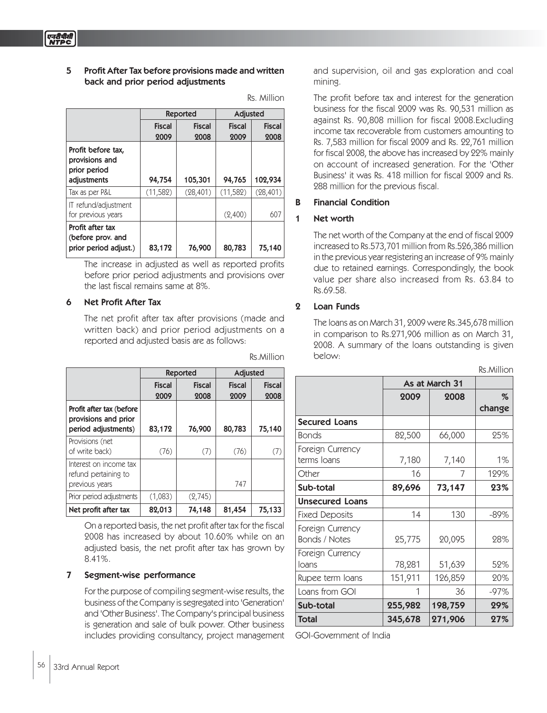## 5 Profit After Tax before provisions made and written back and prior period adjustments

|                                                                     |                       | <b>Reported</b>       | <b>Adjusted</b>       |                       |
|---------------------------------------------------------------------|-----------------------|-----------------------|-----------------------|-----------------------|
|                                                                     | <b>Fiscal</b><br>2009 | <b>Fiscal</b><br>2008 | <b>Fiscal</b><br>2009 | <b>Fiscal</b><br>2008 |
| Profit before tax,<br>provisions and<br>prior period<br>adjustments | 94,754                | 105,301               | 94,765                | 102,934               |
| Tax as per P&L                                                      | (11,582)              | (28, 401)             | (11, 582)             | (28, 401)             |
| IT refund/adjustment<br>for previous years                          |                       |                       | (2,400)               | 607                   |
| Profit after tax<br>(before prov. and<br>prior period adjust.)      | 83,172                | 76,900                | 80,783                | 75,140                |

The increase in adjusted as well as reported profits before prior period adjustments and provisions over the last fiscal remains same at 8%.

## 6 Net Profit After Tax

The net profit after tax after provisions (made and written back) and prior period adjustments on a reported and adjusted basis are as follows:

|                                                                         |                       | Reported              | <b>Adjusted</b>       |                       |  |
|-------------------------------------------------------------------------|-----------------------|-----------------------|-----------------------|-----------------------|--|
|                                                                         | <b>Fiscal</b><br>2009 | <b>Fiscal</b><br>2008 | <b>Fiscal</b><br>2009 | <b>Fiscal</b><br>2008 |  |
| Profit after tax (before<br>provisions and prior<br>period adjustments) | 83,172                | 76,900                | 80,783                | 75,140                |  |
| Provisions (net<br>of write back)                                       | (76)                  | (7)                   | (76)                  | (7)                   |  |
| Interest on income tax<br>refund pertaining to<br>previous years        |                       |                       | 747                   |                       |  |
| Prior period adjustments                                                | (1,083)               | (2,745)               |                       |                       |  |
| Net profit after tax                                                    | 82,013                | 74,148                | 81,454                | 75,133                |  |

Rs.Million

Rs. Million

On a reported basis, the net profit after tax for the fiscal 2008 has increased by about 10.60% while on an adjusted basis, the net profit after tax has grown by 8.41%.

# 7 Segment-wise performance

For the purpose of compiling segment-wise results, the business of the Company is segregated into 'Generation' and 'Other Business'. The Company's principal business is generation and sale of bulk power. Other business includes providing consultancy, project management and supervision, oil and gas exploration and coal mining.

The profit before tax and interest for the generation business for the fiscal 2009 was Rs. 90,531 million as against Rs. 90,808 million for fiscal 2008.Excluding income tax recoverable from customers amounting to Rs. 7,583 million for fiscal 2009 and Rs. 22,761 million for fiscal 2008, the above has increased by 22% mainly on account of increased generation. For the 'Other Business' it was Rs. 418 million for fiscal 2009 and Rs. 288 million for the previous fiscal.

# B Financial Condition

## 1 Net worth

The net worth of the Company at the end of fiscal 2009 increased to Rs.573,701 million from Rs.526,386 million in the previous year registering an increase of 9% mainly due to retained earnings. Correspondingly, the book value per share also increased from Rs. 63.84 to Rs.69.58.

## 2 Loan Funds

The loans as on March 31, 2009 were Rs.345,678 million in comparison to Rs.271,906 million as on March 31, 2008. A summary of the loans outstanding is given below:

Rs.Million

|                                   | As at March 31 |         |             |
|-----------------------------------|----------------|---------|-------------|
|                                   | 2009           | 2008    | %<br>change |
| <b>Secured Loans</b>              |                |         |             |
| <b>Bonds</b>                      | 82,500         | 66,000  | 25%         |
| Foreign Currency<br>terms loans   | 7,180          | 7,140   | $1\%$       |
| Other                             | 16             | 7       | 129%        |
| Sub-total                         | 89,696         | 73,147  | 23%         |
| <b>Unsecured Loans</b>            |                |         |             |
| <b>Fixed Deposits</b>             | 14             | 130     | $-89%$      |
| Foreign Currency<br>Bonds / Notes | 25,775         | 20,095  | 28%         |
| Foreign Currency<br>loans         | 78,281         | 51,639  | 52%         |
| Rupee term Ioans                  | 151,911        | 126,859 | 20%         |
| Loans from GOI                    |                | 36      | $-97%$      |
| Sub-total                         | 255,982        | 198,759 | 29%         |
| <b>Total</b>                      | 345,678        | 271,906 | 27%         |

GOI-Government of India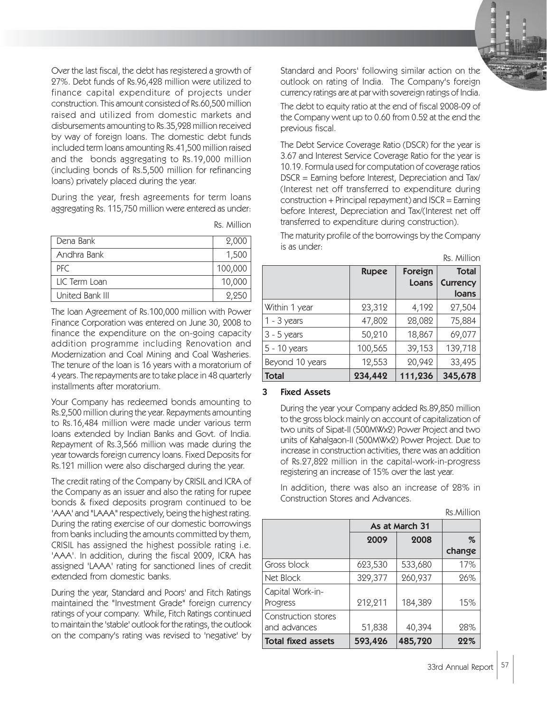Over the last fiscal, the debt has registered a growth of 27%. Debt funds of Rs.96,428 million were utilized to finance capital expenditure of projects under construction. This amount consisted of Rs.60,500 million raised and utilized from domestic markets and disbursements amounting to Rs.35,928 million received by way of foreign loans. The domestic debt funds included term loans amounting Rs.41,500 million raised and the bonds aggregating to Rs.19,000 million (including bonds of Rs.5,500 million for refinancing loans) privately placed during the year.

During the year, fresh agreements for term loans aggregating Rs. 115,750 million were entered as under:

| Dena Bank       | 2,000   |
|-----------------|---------|
| Andhra Bank     | 1,500   |
| PFC             | 100,000 |
| LIC Term Loan   | 10,000  |
| United Bank III |         |

Rs. Million

The loan Agreement of Rs.100,000 million with Power Finance Corporation was entered on June 30, 2008 to finance the expenditure on the on-going capacity addition programme including Renovation and Modernization and Coal Mining and Coal Washeries. The tenure of the loan is 16 years with a moratorium of 4 years. The repayments are to take place in 48 quarterly installments after moratorium.

Your Company has redeemed bonds amounting to Rs.2,500 million during the year. Repayments amounting to Rs.16,484 million were made under various term loans extended by Indian Banks and Govt. of India. Repayment of Rs.3,566 million was made during the year towards foreign currency loans. Fixed Deposits for Rs.121 million were also discharged during the year.

The credit rating of the Company by CRISIL and ICRA of the Company as an issuer and also the rating for rupee bonds & fixed deposits program continued to be 'AAA' and "LAAA" respectively, being the highest rating. During the rating exercise of our domestic borrowings from banks including the amounts committed by them, CRISIL has assigned the highest possible rating i.e. 'AAA'. In addition, during the fiscal 2009, ICRA has assigned 'LAAA' rating for sanctioned lines of credit extended from domestic banks.

During the year, Standard and Poors' and Fitch Ratings maintained the "Investment Grade" foreign currency ratings of your company. While, Fitch Ratings continued to maintain the 'stable' outlook for the ratings, the outlook on the company's rating was revised to 'negative' by Standard and Poors' following similar action on the outlook on rating of India. The Company's foreign currency ratings are at par with sovereign ratings of India. The debt to equity ratio at the end of fiscal 2008-09 of the Company went up to 0.60 from 0.52 at the end the previous fiscal.

The Debt Service Coverage Ratio (DSCR) for the year is 3.67 and Interest Service Coverage Ratio for the year is 10.19. Formula used for computation of coverage ratios DSCR = Earning before Interest, Depreciation and Tax/ (Interest net off transferred to expenditure during construction + Principal repayment) and ISCR = Earning before Interest, Depreciation and Tax/(Interest net off transferred to expenditure during construction).

The maturity profile of the borrowings by the Company is as under:

|                 |              |         | KS. <i>IVIIIIOI</i> I |
|-----------------|--------------|---------|-----------------------|
|                 | <b>Rupee</b> | Foreign | <b>Total</b>          |
|                 |              | Loans   | <b>Currency</b>       |
|                 |              |         | loans                 |
| Within 1 year   | 23,312       | 4,192   | 27,504                |
| 1 - 3 years     | 47,802       | 28,082  | 75,884                |
| $3 - 5$ years   | 50,210       | 18,867  | 69,077                |
| $5 - 10$ years  | 100,565      | 39,153  | 139,718               |
| Beyond 10 years | 12,553       | 20,942  | 33,495                |
| Total           | 234,442      | 111,236 | 345,678               |

#### 3 Fixed Assets

During the year your Company added Rs.89,850 million to the gross block mainly on account of capitalization of two units of Sipat-II (500MWx2) Power Project and two units of Kahalgaon-II (500MWx2) Power Project. Due to increase in construction activities, there was an addition of Rs.27,822 million in the capital-work-in-progress registering an increase of 15% over the last year.

In addition, there was also an increase of 28% in Construction Stores and Advances.

| Rs.Million |  |
|------------|--|
|            |  |
|            |  |
|            |  |

|                                     | As at March 31 |         |             |
|-------------------------------------|----------------|---------|-------------|
|                                     | 2009           | 2008    | %<br>change |
| Gross block                         | 623,530        | 533,680 | 17%         |
| Net Block                           | 329,377        | 260,937 | 26%         |
| Capital Work-in-<br>Progress        | 212,211        | 184,389 | 15%         |
| Construction stores<br>and advances | 51,838         | 40,394  | 28%         |
| <b>Total fixed assets</b>           | 593,426        | 485,720 | 22%         |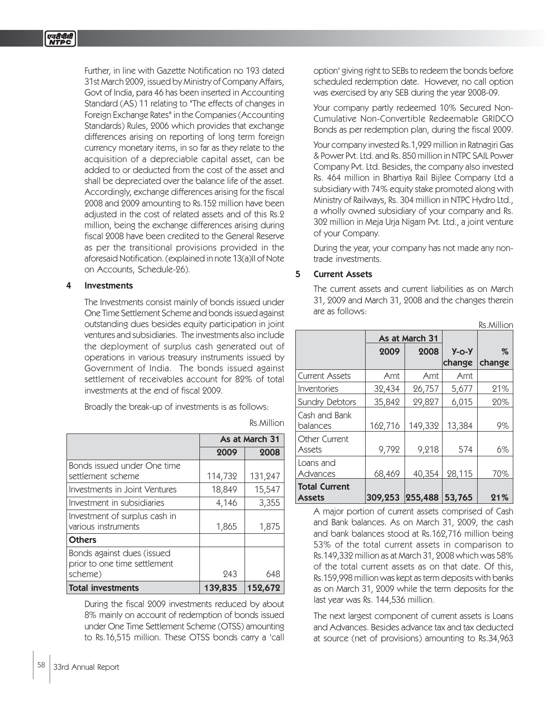Further, in line with Gazette Notification no 193 dated 31st March 2009, issued by Ministry of Company Affairs, Govt of India, para 46 has been inserted in Accounting Standard (AS) 11 relating to "The effects of changes in Foreign Exchange Rates" in the Companies (Accounting Standards) Rules, 2006 which provides that exchange differences arising on reporting of long term foreign currency monetary items, in so far as they relate to the acquisition of a depreciable capital asset, can be added to or deducted from the cost of the asset and shall be depreciated over the balance life of the asset. Accordingly, exchange differences arising for the fiscal 2008 and 2009 amounting to Rs.152 million have been adjusted in the cost of related assets and of this Rs.2 million, being the exchange differences arising during fiscal 2008 have been credited to the General Reserve as per the transitional provisions provided in the aforesaid Notification. (explained in note 13(a)II of Note on Accounts, Schedule-26).

## 4 Investments

The Investments consist mainly of bonds issued under One Time Settlement Scheme and bonds issued against outstanding dues besides equity participation in joint ventures and subsidiaries. The investments also include the deployment of surplus cash generated out of operations in various treasury instruments issued by Government of India. The bonds issued against settlement of receivables account for 82% of total investments at the end of fiscal 2009.

Broadly the break-up of investments is as follows:

|                                                                       | As at March 31 |         |
|-----------------------------------------------------------------------|----------------|---------|
|                                                                       | 2009           | 2008    |
| Bonds issued under One time<br>settlement scheme                      | 114,732        | 131,247 |
| Investments in Joint Ventures                                         | 18,849         | 15,547  |
| Investment in subsidiaries                                            | 4,146          | 3,355   |
| Investment of surplus cash in<br>various instruments                  | 1,865          | 1,875   |
| <b>Others</b>                                                         |                |         |
| Bonds against dues (issued<br>prior to one time settlement<br>scheme) | 243            | 648     |
| Total investments                                                     | 139,835        | 152,672 |

During the fiscal 2009 investments reduced by about 8% mainly on account of redemption of bonds issued under One Time Settlement Scheme (OTSS) amounting to Rs.16,515 million. These OTSS bonds carry a 'call

option' giving right to SEBs to redeem the bonds before scheduled redemption date. However, no call option was exercised by any SEB during the year 2008-09.

Your company partly redeemed 10% Secured Non-Cumulative Non-Convertible Redeemable GRIDCO Bonds as per redemption plan, during the fiscal 2009.

Your company invested Rs.1,929 million in Ratnagiri Gas & Power Pvt. Ltd. and Rs. 850 million in NTPC SAIL Power Company Pvt. Ltd. Besides, the company also invested Rs. 464 million in Bhartiya Rail Bijlee Company Ltd a subsidiary with 74% equity stake promoted along with Ministry of Railways, Rs. 304 million in NTPC Hydro Ltd., a wholly owned subsidiary of your company and Rs. 302 million in Meja Urja Nigam Pvt. Ltd., a joint venture of your Company.

During the year, your company has not made any nontrade investments.

## 5 Current Assets

The current assets and current liabilities as on March 31, 2009 and March 31, 2008 and the changes therein are as follows:

Rs.Million

|                                |         |                |             | <b>KS.MIIIION</b> |
|--------------------------------|---------|----------------|-------------|-------------------|
|                                |         | As at March 31 |             |                   |
|                                | 2009    | 2008           | $Y$ -0- $Y$ | %                 |
|                                |         |                | change      | change            |
| <b>Current Assets</b>          | Amt     | Amt            | Amt         |                   |
| Inventories                    | 32,434  | 26,757         | 5,677       | 21%               |
| Sundry Debtors                 | 35,842  | 29,827         | 6,015       | 20%               |
| Cash and Bank                  |         |                |             |                   |
| balances                       | 162,716 | 149,332        | 13,384      | 9%                |
| <b>Other Current</b><br>Assets | 9,792   | 9,218          | 574         | 6%                |
| Loans and                      |         |                |             |                   |
| Advances                       | 68,469  | 40,354         | 28,115      | 70%               |
| <b>Total Current</b>           |         |                |             |                   |
| <b>Assets</b>                  | 309,253 | 255,488 53,765 |             | 21%               |

A major portion of current assets comprised of Cash and Bank balances. As on March 31, 2009, the cash and bank balances stood at Rs.162,716 million being 53% of the total current assets in comparison to Rs.149,332 million as at March 31, 2008 which was 58% of the total current assets as on that date. Of this, Rs.159,998 million was kept as term deposits with banks as on March 31, 2009 while the term deposits for the last year was Rs. 144,536 million.

The next largest component of current assets is Loans and Advances. Besides advance tax and tax deducted at source (net of provisions) amounting to Rs.34,963

Rs.Million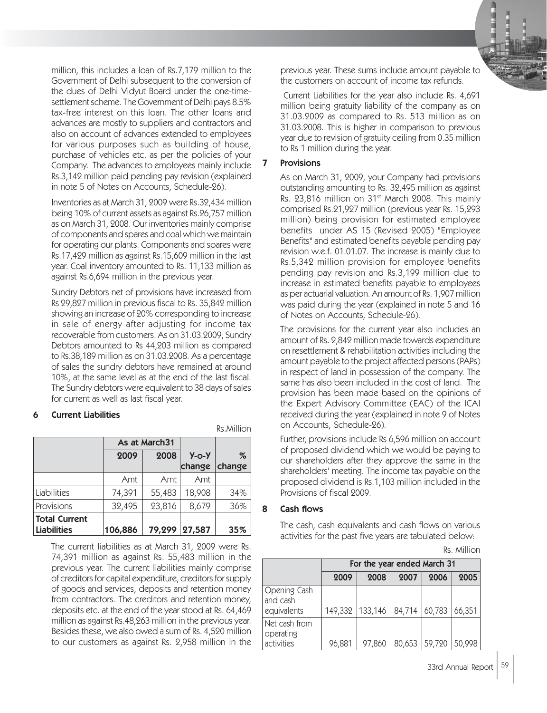

million, this includes a loan of Rs.7,179 million to the Government of Delhi subsequent to the conversion of the dues of Delhi Vidyut Board under the one-timesettlement scheme. The Government of Delhi pays 8.5% tax-free interest on this loan. The other loans and advances are mostly to suppliers and contractors and also on account of advances extended to employees for various purposes such as building of house, purchase of vehicles etc. as per the policies of your Company. The advances to employees mainly include Rs.3,142 million paid pending pay revision (explained in note 5 of Notes on Accounts, Schedule-26).

Inventories as at March 31, 2009 were Rs.32,434 million being 10% of current assets as against Rs.26,757 million as on March 31, 2008. Our inventories mainly comprise of components and spares and coal which we maintain for operating our plants. Components and spares were Rs.17,429 million as against Rs.15,609 million in the last year. Coal inventory amounted to Rs. 11,133 million as against Rs.6,694 million in the previous year.

Sundry Debtors net of provisions have increased from Rs 29,827 million in previous fiscal to Rs. 35,842 million showing an increase of 20% corresponding to increase in sale of energy after adjusting for income tax recoverable from customers. As on 31.03.2009, Sundry Debtors amounted to Rs 44,203 million as compared to Rs.38,189 million as on 31.03.2008. As a percentage of sales the sundry debtors have remained at around 10%, at the same level as at the end of the last fiscal. The Sundry debtors were equivalent to 38 days of sales for current as well as last fiscal year.

#### 6 Current Liabilities

|                   |         |               |        | KS.IVIIIIUI I |
|-------------------|---------|---------------|--------|---------------|
|                   |         | As at March31 |        |               |
|                   | 2009    | 2008          |        | %             |
|                   |         |               | change | change        |
|                   | Amt     | Amt           | Amt    |               |
| Liabilities       | 74,391  | 55,483        | 18,908 | 34%           |
| <b>Provisions</b> | 32,495  | 23,816        | 8,679  | 36%           |
| Total Current     |         |               |        |               |
| Liabilities       | 106,886 | 79,299        | 27,587 | 35%           |

The current liabilities as at March 31, 2009 were Rs. 74,391 million as against Rs. 55,483 million in the previous year. The current liabilities mainly comprise of creditors for capital expenditure, creditors for supply of goods and services, deposits and retention money from contractors. The creditors and retention money, deposits etc. at the end of the year stood at Rs. 64,469 million as against Rs.48,263 million in the previous year. Besides these, we also owed a sum of Rs. 4,520 million to our customers as against Rs. 2,958 million in the

previous year. These sums include amount payable to the customers on account of income tax refunds.

 Current Liabilities for the year also include Rs. 4,691 million being gratuity liability of the company as on 31.03.2009 as compared to Rs. 513 million as on 31.03.2008. This is higher in comparison to previous year due to revision of gratuity ceiling from 0.35 million to Rs 1 million during the year.

#### 7 Provisions

As on March 31, 2009, your Company had provisions outstanding amounting to Rs. 32,495 million as against Rs. 23,816 million on 31<sup>st</sup> March 2008. This mainly comprised Rs.21,927 million (previous year Rs. 15,293 million) being provision for estimated employee benefits under AS 15 (Revised 2005) "Employee Benefits" and estimated benefits payable pending pay revision w.e.f. 01.01.07. The increase is mainly due to Rs.5,342 million provision for employee benefits pending pay revision and Rs.3,199 million due to increase in estimated benefits payable to employees as per actuarial valuation. An amount of Rs. 1,907 million was paid during the year (explained in note 5 and 16 of Notes on Accounts, Schedule-26).

The provisions for the current year also includes an amount of Rs. 2,842 million made towards expenditure on resettlement & rehabilitation activities including the amount payable to the project affected persons (PAPs) in respect of land in possession of the company. The same has also been included in the cost of land. The provision has been made based on the opinions of the Expert Advisory Committee (EAC) of the ICAI received during the year (explained in note 9 of Notes on Accounts, Schedule-26).

Further, provisions include Rs 6,596 million on account of proposed dividend which we would be paying to our shareholders after they approve the same in the shareholders' meeting. The income tax payable on the proposed dividend is Rs.1,103 million included in the Provisions of fiscal 2009.

#### 8 Cash flows

Rs.Million

The cash, cash equivalents and cash flows on various activities for the past five years are tabulated below:

|                                                | For the year ended March 31 |                                              |                      |      |      |
|------------------------------------------------|-----------------------------|----------------------------------------------|----------------------|------|------|
|                                                | 2009                        | 2008                                         | 2007                 | 2006 | 2005 |
| <b>Opening Cash</b><br>and cash<br>equivalents |                             | 149,332   133,146   84,714   60,783   66,351 |                      |      |      |
| Net cash from<br>operating<br>activities       | 96,881                      | 97,860                                       | 80,653 59,720 50,998 |      |      |

| Rs. Million |  |  |
|-------------|--|--|
|-------------|--|--|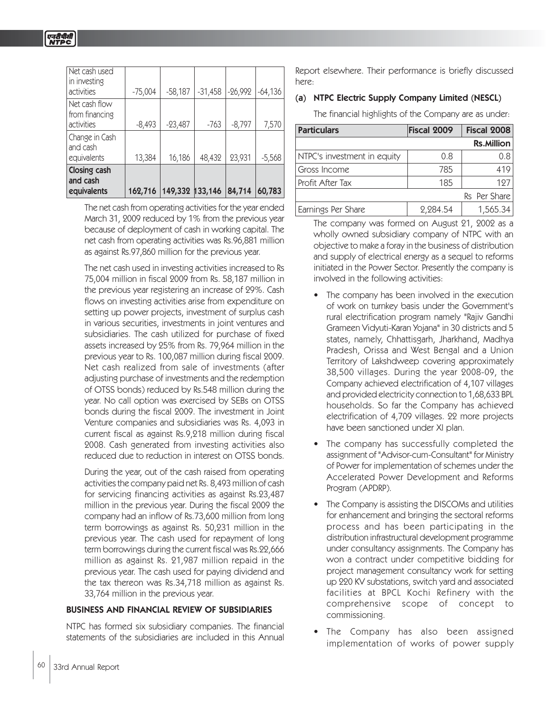| <b>Closing cash</b><br>and cash<br>equivalents | 162,716   | 149,332 133,146 84,714 |           |           | 60,783    |
|------------------------------------------------|-----------|------------------------|-----------|-----------|-----------|
| Change in Cash<br>and cash<br>equivalents      | 13,384    | 16,186                 | 48,432    | 23,931    | $-5,568$  |
| Net cash flow<br>from financing<br>activities  | $-8,493$  | $-23,487$              | $-763$    | $-8,797$  | 7,570     |
| Net cash used<br>in investing<br>activities    | $-75,004$ | $-58,187$              | $-31,458$ | $-26,992$ | $-64,136$ |

The net cash from operating activities for the year ended March 31, 2009 reduced by 1% from the previous year because of deployment of cash in working capital. The net cash from operating activities was Rs.96,881 million as against Rs.97,860 million for the previous year.

The net cash used in investing activities increased to Rs 75,004 million in fiscal 2009 from Rs. 58,187 million in the previous year registering an increase of 29%. Cash flows on investing activities arise from expenditure on setting up power projects, investment of surplus cash in various securities, investments in joint ventures and subsidiaries. The cash utilized for purchase of fixed assets increased by 25% from Rs. 79,964 million in the previous year to Rs. 100,087 million during fiscal 2009. Net cash realized from sale of investments (after adjusting purchase of investments and the redemption of OTSS bonds) reduced by Rs.548 million during the year. No call option was exercised by SEBs on OTSS bonds during the fiscal 2009. The investment in Joint Venture companies and subsidiaries was Rs. 4,093 in current fiscal as against Rs.9,218 million during fiscal 2008. Cash generated from investing activities also reduced due to reduction in interest on OTSS bonds.

During the year, out of the cash raised from operating activities the company paid net Rs. 8,493 million of cash for servicing financing activities as against Rs.23,487 million in the previous year. During the fiscal 2009 the company had an inflow of Rs.73,600 million from long term borrowings as against Rs. 50,231 million in the previous year. The cash used for repayment of long term borrowings during the current fiscal was Rs.22,666 million as against Rs. 21,987 million repaid in the previous year. The cash used for paying dividend and the tax thereon was Rs.34,718 million as against Rs. 33,764 million in the previous year.

# BUSINESS AND FINANCIAL REVIEW OF SUBSIDIARIES

NTPC has formed six subsidiary companies. The financial statements of the subsidiaries are included in this Annual

Report elsewhere. Their performance is briefly discussed here:

## (a) NTPC Electric Supply Company Limited (NESCL)

The financial highlights of the Company are as under:

| <b>Particulars</b>          | <b>Fiscal 2009</b> | <b>Fiscal 2008</b> |
|-----------------------------|--------------------|--------------------|
|                             |                    | <b>Rs.Million</b>  |
| NTPC's investment in equity | 0.8                | 0.8                |
| Gross Income                | 785                | 419                |
| Profit After Tax            | 185                | 197                |
|                             |                    | Rs Per Share       |
| Earnings Per Share          | 2,284.54           | 1,565.34           |

The company was formed on August 21, 2002 as a wholly owned subsidiary company of NTPC with an objective to make a foray in the business of distribution and supply of electrical energy as a sequel to reforms initiated in the Power Sector. Presently the company is involved in the following activities:

- The company has been involved in the execution of work on turnkey basis under the Government's rural electrification program namely "Rajiv Gandhi Grameen Vidyuti-Karan Yojana" in 30 districts and 5 states, namely, Chhattisgarh, Jharkhand, Madhya Pradesh, Orissa and West Bengal and a Union Territory of Lakshdweep covering approximately 38,500 villages. During the year 2008-09, the Company achieved electrification of 4,107 villages and provided electricity connection to 1,68,633 BPL households. So far the Company has achieved electrification of 4,709 villages. 22 more projects have been sanctioned under XI plan.
- The company has successfully completed the assignment of "Advisor-cum-Consultant" for Ministry of Power for implementation of schemes under the Accelerated Power Development and Reforms Program (APDRP).
- The Company is assisting the DISCOMs and utilities for enhancement and bringing the sectoral reforms process and has been participating in the distribution infrastructural development programme under consultancy assignments. The Company has won a contract under competitive bidding for project management consultancy work for setting up 220 KV substations, switch yard and associated facilities at BPCL Kochi Refinery with the comprehensive scope of concept to commissioning.
- The Company has also been assigned implementation of works of power supply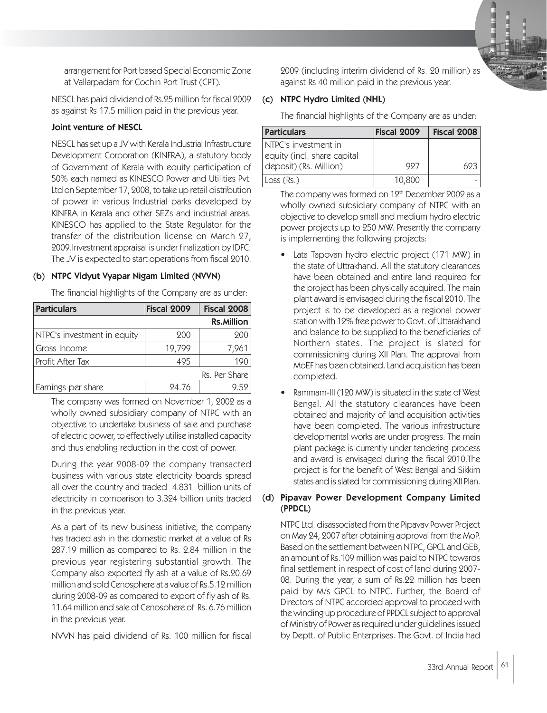arrangement for Port based Special Economic Zone at Vallarpadam for Cochin Port Trust (CPT).

NESCL has paid dividend of Rs.25 million for fiscal 2009 as against Rs 17.5 million paid in the previous year.

## Joint venture of NESCL

NESCL has set up a JV with Kerala Industrial Infrastructure Development Corporation (KINFRA), a statutory body of Government of Kerala with equity participation of 50% each named as KINESCO Power and Utilities Pvt. Ltd on September 17, 2008, to take up retail distribution of power in various Industrial parks developed by KINFRA in Kerala and other SEZs and industrial areas. KINESCO has applied to the State Regulator for the transfer of the distribution license on March 27, 2009.Investment appraisal is under finalization by IDFC. The JV is expected to start operations from fiscal 2010.

## (b) NTPC Vidyut Vyapar Nigam Limited (NVVN)

The financial highlights of the Company are as under:

| <b>Particulars</b>          | <b>Fiscal 2009</b> | Fiscal 2008       |
|-----------------------------|--------------------|-------------------|
|                             |                    | <b>Rs.Million</b> |
| NTPC's investment in equity | 200                | 200               |
| Gross Income                | 19,799             | 7,961             |
| l Profit After Tax          | 495                | 190               |
|                             |                    | Rs. Per Share     |
| Earnings per share          | 24.76              | 9.59              |

The company was formed on November 1, 2002 as a wholly owned subsidiary company of NTPC with an objective to undertake business of sale and purchase of electric power, to effectively utilise installed capacity and thus enabling reduction in the cost of power.

During the year 2008-09 the company transacted business with various state electricity boards spread all over the country and traded 4.831 billion units of electricity in comparison to 3.324 billion units traded in the previous year.

As a part of its new business initiative, the company has traded ash in the domestic market at a value of Rs 287.19 million as compared to Rs. 2.84 million in the previous year registering substantial growth. The Company also exported fly ash at a value of Rs.20.69 million and sold Cenosphere at a value of Rs.5.12 million during 2008-09 as compared to export of fly ash of Rs. 11.64 million and sale of Cenosphere of Rs. 6.76 million in the previous year.

NVVN has paid dividend of Rs. 100 million for fiscal

2009 (including interim dividend of Rs. 20 million) as against Rs 40 million paid in the previous year.

# (c) NTPC Hydro Limited (NHL)

The financial highlights of the Company are as under:

| <b>Particulars</b>                                   | <b>Fiscal 2009</b> | <b>Fiscal 2008</b> |
|------------------------------------------------------|--------------------|--------------------|
| INTPC's investment in<br>equity (incl. share capital |                    |                    |
| deposit) (Rs. Million)                               | 997                |                    |
| Loss (Rs.)                                           | 10,800             |                    |

The company was formed on  $12<sup>th</sup>$  December 2002 as a wholly owned subsidiary company of NTPC with an objective to develop small and medium hydro electric power projects up to 250 MW. Presently the company is implementing the following projects:

- Lata Tapovan hydro electric project (171 MW) in the state of Uttrakhand. All the statutory clearances have been obtained and entire land required for the project has been physically acquired. The main plant award is envisaged during the fiscal 2010. The project is to be developed as a regional power station with 12% free power to Govt. of Uttarakhand and balance to be supplied to the beneficiaries of Northern states. The project is slated for commissioning during XII Plan. The approval from MoEF has been obtained. Land acquisition has been completed.
- Rammam-III (120 MW) is situated in the state of West Bengal. All the statutory clearances have been obtained and majority of land acquisition activities have been completed. The various infrastructure developmental works are under progress. The main plant package is currently under tendering process and award is envisaged during the fiscal 2010.The project is for the benefit of West Bengal and Sikkim states and is slated for commissioning during XII Plan.

# (d) Pipavav Power Development Company Limited (PPDCL)

NTPC Ltd. disassociated from the Pipavav Power Project on May 24, 2007 after obtaining approval from the MoP. Based on the settlement between NTPC, GPCL and GEB, an amount of Rs.109 million was paid to NTPC towards final settlement in respect of cost of land during 2007- 08. During the year, a sum of Rs.22 million has been paid by M/s GPCL to NTPC. Further, the Board of Directors of NTPC accorded approval to proceed with the winding up procedure of PPDCL subject to approval of Ministry of Power as required under guidelines issued by Deptt. of Public Enterprises. The Govt. of India had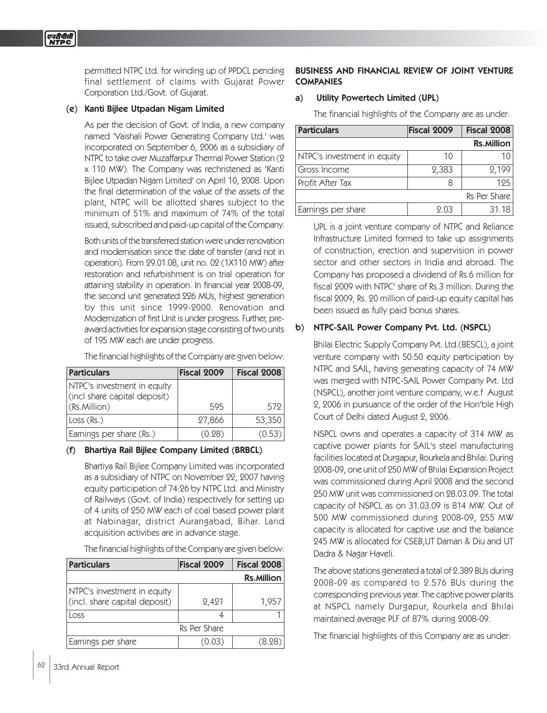permitted NTPC Ltd. for winding up of PPDCL pending final settlement of claims with Gujarat Power Corporation Ltd./Govt. of Gujarat.

## (e) Kanti Bijlee Utpadan Nigam Limited

As per the decision of Govt. of India, a new company named 'Vaishali Power Generating Company Ltd.' was incorporated on September 6, 2006 as a subsidiary of NTPC to take over Muzaffarpur Thermal Power Station (2 x 110 MW). The Company was rechristened as 'Kanti Bijlee Utpadan Nigam Limited' on April 10, 2008. Upon the final determination of the value of the assets of the plant, NTPC will be allotted shares subject to the minimum of 51% and maximum of 74% of the total issued, subscribed and paid-up capital of the Company.

Both units of the transferred station were under renovation and modernisation since the date of transfer (and not in operation). From 29.01.08, unit no. 02 (1X110 MW) after restoration and refurbishment is on trial operation for attaining stability in operation. In financial year 2008-09, the second unit generated 226 MUs, highest generation by this unit since 1999-2000. Renovation and Modernization of first Unit is under progress. Further, preaward activities for expansion stage consisting of two units of 195 MW each are under progress.

The financial highlights of the Company are given below:

| <b>Particulars</b>                                          | Fiscal 2009 | Fiscal 2008 |
|-------------------------------------------------------------|-------------|-------------|
| NTPC's investment in equity<br>(incl share capital deposit) |             |             |
| (Rs.Million)                                                | 595         | 579         |
| Loss (Rs.)                                                  | 27,866      | 53,350      |
| Earnings per share (Rs.)                                    | (0.28)      | (0.53)      |

#### (f) Bhartiya Rail Bijlee Company Limited (BRBCL)

Bhartiya Rail Bijlee Company Limited was incorporated as a subsidiary of NTPC on November 22, 2007 having equity participation of 74:26 by NTPC Ltd. and Ministry of Railways (Govt. of India) respectively for setting up of 4 units of 250 MW each of coal based power plant at Nabinagar, district Aurangabad, Bihar. Land acquisition activities are in advance stage.

The financial highlights of the Company are given below:

| <b>Particulars</b>                                           | Fiscal 2009  | <b>Fiscal 2008</b> |
|--------------------------------------------------------------|--------------|--------------------|
|                                                              |              | <b>Rs.Million</b>  |
| NTPC's investment in equity<br>(incl. share capital deposit) | 2,421        | 1,957              |
| Loss                                                         |              |                    |
|                                                              | Rs Per Share |                    |
| Earnings per share                                           | (0.03)       |                    |

# BUSINESS AND FINANCIAL REVIEW OF JOINT VENTURE **COMPANIES**

# a) Utility Powertech Limited (UPL)

The financial highlights of the Company are as under:

| <b>Particulars</b>          | <b>Fiscal 2009</b> | <b>Fiscal 2008</b> |
|-----------------------------|--------------------|--------------------|
|                             |                    | <b>Rs.Million</b>  |
| NTPC's investment in equity | 10                 |                    |
| Gross Income                | 2,383              | 2,199              |
| Profit After Tax            |                    | 125                |
|                             |                    | Rs Per Share       |
| Earnings per share          | 2.03               | 31.18              |

UPL is a joint venture company of NTPC and Reliance Infrastructure Limited formed to take up assignments of construction, erection and supervision in power sector and other sectors in India and abroad. The Company has proposed a dividend of Rs.6 million for fiscal 2009 with NTPC' share of Rs.3 million. During the fiscal 2009, Rs. 20 million of paid-up equity capital has been issued as fully paid bonus shares.

# b) NTPC-SAIL Power Company Pvt. Ltd. (NSPCL)

Bhilai Electric Supply Company Pvt. Ltd.(BESCL), a joint venture company with 50:50 equity participation by NTPC and SAIL, having generating capacity of 74 MW was merged with NTPC-SAIL Power Company Pvt. Ltd (NSPCL), another joint venture company, w.e.f August 2, 2006 in pursuance of the order of the Hon'ble High Court of Delhi dated August 2, 2006.

NSPCL owns and operates a capacity of 314 MW as captive power plants for SAIL's steel manufacturing facilities located at Durgapur, Rourkela and Bhilai. During 2008-09, one unit of 250 MW of Bhilai Expansion Project was commissioned during April 2008 and the second 250 MW unit was commissioned on 28.03.09. The total capacity of NSPCL as on 31.03.09 is 814 MW. Out of 500 MW commissioned during 2008-09, 255 MW capacity is allocated for captive use and the balance 245 MW is allocated for CSEB,UT Daman & Diu and UT Dadra & Nagar Haveli.

The above stations generated a total of 2.389 BUs during 2008-09 as compared to 2.576 BUs during the corresponding previous year. The captive power plants at NSPCL namely Durgapur, Rourkela and Bhilai maintained average PLF of 87% during 2008-09.

The financial highlights of this Company are as under: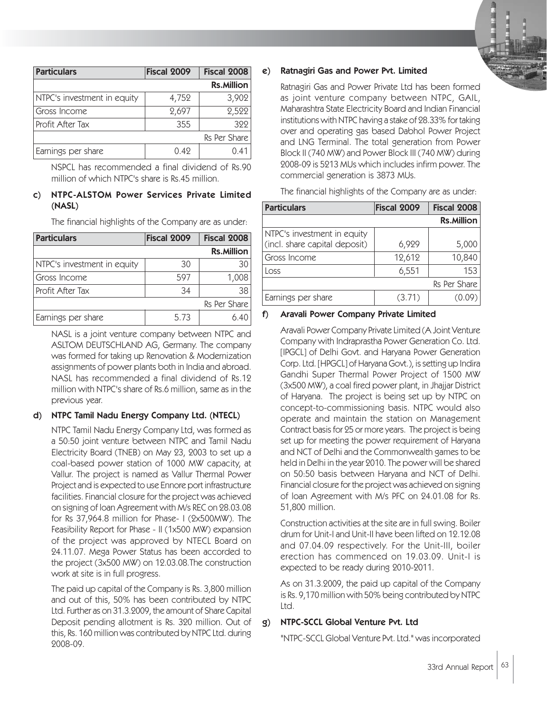

| <b>Particulars</b>          | <b>Fiscal 2009</b> | <b>Fiscal 2008</b> |
|-----------------------------|--------------------|--------------------|
|                             |                    | <b>Rs.Million</b>  |
| NTPC's investment in equity | 4,752              | 3,902              |
| Gross Income                | 2,697              | 2,522              |
| Profit After Tax            | 355                | 322                |
| Rs Per Share                |                    |                    |
| Earnings per share          | 0.49               | 0.41               |

NSPCL has recommended a final dividend of Rs.90 million of which NTPC's share is Rs.45 million.

# c) NTPC-ALSTOM Power Services Private Limited (NASL)

The financial highlights of the Company are as under:

| <b>Particulars</b>          | <b>Fiscal 2009</b> | <b>Fiscal 2008</b> |
|-----------------------------|--------------------|--------------------|
|                             |                    | <b>Rs.Million</b>  |
| NTPC's investment in equity | 30                 | 30                 |
| Gross Income                | 597                | 1,008              |
| Profit After Tax            | 34                 | 38                 |
|                             |                    | Rs Per Share       |
| Earnings per share          | 5.73               | 6.40               |

NASL is a joint venture company between NTPC and ASLTOM DEUTSCHLAND AG, Germany. The company was formed for taking up Renovation & Modernization assignments of power plants both in India and abroad. NASL has recommended a final dividend of Rs.12 million with NTPC's share of Rs.6 million, same as in the previous year.

# d) NTPC Tamil Nadu Energy Company Ltd. (NTECL)

NTPC Tamil Nadu Energy Company Ltd, was formed as a 50:50 joint venture between NTPC and Tamil Nadu Electricity Board (TNEB) on May 23, 2003 to set up a coal-based power station of 1000 MW capacity, at Vallur. The project is named as Vallur Thermal Power Project and is expected to use Ennore port infrastructure facilities. Financial closure for the project was achieved on signing of loan Agreement with M/s REC on 28.03.08 for Rs 37,964.8 million for Phase- I (2x500MW). The Feasibility Report for Phase - II (1x500 MW) expansion of the project was approved by NTECL Board on 24.11.07. Mega Power Status has been accorded to the project (3x500 MW) on 12.03.08.The construction work at site is in full progress.

The paid up capital of the Company is Rs. 3,800 million and out of this, 50% has been contributed by NTPC Ltd. Further as on 31.3.2009, the amount of Share Capital Deposit pending allotment is Rs. 320 million. Out of this, Rs. 160 million was contributed by NTPC Ltd. during 2008-09.

# e) Ratnagiri Gas and Power Pvt. Limited

Ratnagiri Gas and Power Private Ltd has been formed as joint venture company between NTPC, GAIL, Maharashtra State Electricity Board and Indian Financial institutions with NTPC having a stake of 28.33% for taking over and operating gas based Dabhol Power Project and LNG Terminal. The total generation from Power Block II (740 MW) and Power Block III (740 MW) during 2008-09 is 5213 MUs which includes infirm power. The commercial generation is 3873 MUs.

The financial highlights of the Company are as under:

| <b>Particulars</b>                                           | <b>Fiscal 2009</b> | <b>Fiscal 2008</b> |
|--------------------------------------------------------------|--------------------|--------------------|
|                                                              |                    | <b>Rs.Million</b>  |
| NTPC's investment in equity<br>(incl. share capital deposit) | 6,929              | 5,000              |
| Gross Income                                                 | 12,612             | 10,840             |
| Loss                                                         | 6,551              | 153                |
|                                                              |                    | Rs Per Share       |
| Earnings per share                                           | (3.71)             |                    |

## f) Aravali Power Company Private Limited

Aravali Power Company Private Limited (A Joint Venture Company with Indraprastha Power Generation Co. Ltd. [IPGCL] of Delhi Govt. and Haryana Power Generation Corp. Ltd. [HPGCL] of Haryana Govt.), is setting up Indira Gandhi Super Thermal Power Project of 1500 MW (3x500 MW), a coal fired power plant, in Jhajjar District of Haryana. The project is being set up by NTPC on concept-to-commissioning basis. NTPC would also operate and maintain the station on Management Contract basis for 25 or more years. The project is being set up for meeting the power requirement of Haryana and NCT of Delhi and the Commonwealth games to be held in Delhi in the year 2010. The power will be shared on 50:50 basis between Haryana and NCT of Delhi. Financial closure for the project was achieved on signing of loan Agreement with M/s PFC on 24.01.08 for Rs. 51,800 million.

Construction activities at the site are in full swing. Boiler drum for Unit-I and Unit-II have been lifted on 12.12.08 and 07.04.09 respectively. For the Unit-III, boiler erection has commenced on 19.03.09. Unit-I is expected to be ready during 2010-2011.

As on 31.3.2009, the paid up capital of the Company is Rs. 9,170 million with 50% being contributed by NTPC Ltd.

# g) NTPC-SCCL Global Venture Pvt. Ltd

"NTPC-SCCL Global Venture Pvt. Ltd." was incorporated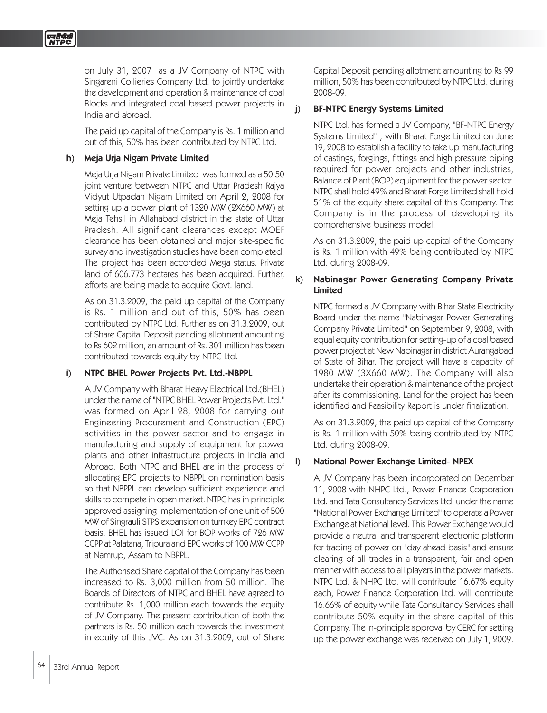on July 31, 2007 as a JV Company of NTPC with Singareni Collieries Company Ltd. to jointly undertake the development and operation & maintenance of coal Blocks and integrated coal based power projects in India and abroad.

The paid up capital of the Company is Rs. 1 million and out of this, 50% has been contributed by NTPC Ltd.

#### h) Meja Urja Nigam Private Limited

Meja Urja Nigam Private Limited was formed as a 50:50 joint venture between NTPC and Uttar Pradesh Rajya Vidyut Utpadan Nigam Limited on April 2, 2008 for setting up a power plant of 1320 MW (2X660 MW) at Meja Tehsil in Allahabad district in the state of Uttar Pradesh. All significant clearances except MOEF clearance has been obtained and major site-specific survey and investigation studies have been completed. The project has been accorded Mega status. Private land of 606.773 hectares has been acquired. Further, efforts are being made to acquire Govt. land.

As on 31.3.2009, the paid up capital of the Company is Rs. 1 million and out of this, 50% has been contributed by NTPC Ltd. Further as on 31.3.2009, out of Share Capital Deposit pending allotment amounting to Rs 602 million, an amount of Rs. 301 million has been contributed towards equity by NTPC Ltd.

# i) NTPC BHEL Power Projects Pvt. Ltd.-NBPPL

A JV Company with Bharat Heavy Electrical Ltd.(BHEL) under the name of "NTPC BHEL Power Projects Pvt. Ltd." was formed on April 28, 2008 for carrying out Engineering Procurement and Construction (EPC) activities in the power sector and to engage in manufacturing and supply of equipment for power plants and other infrastructure projects in India and Abroad. Both NTPC and BHEL are in the process of allocating EPC projects to NBPPL on nomination basis so that NBPPL can develop sufficient experience and skills to compete in open market. NTPC has in principle approved assigning implementation of one unit of 500 MW of Singrauli STPS expansion on turnkey EPC contract basis. BHEL has issued LOI for BOP works of 726 MW CCPP at Palatana, Tripura and EPC works of 100 MW CCPP at Namrup, Assam to NBPPL.

The Authorised Share capital of the Company has been increased to Rs. 3,000 million from 50 million. The Boards of Directors of NTPC and BHEL have agreed to contribute Rs. 1,000 million each towards the equity of JV Company. The present contribution of both the partners is Rs. 50 million each towards the investment in equity of this JVC. As on 31.3.2009, out of Share Capital Deposit pending allotment amounting to Rs 99 million, 50% has been contributed by NTPC Ltd. during 2008-09.

# j) BF-NTPC Energy Systems Limited

NTPC Ltd. has formed a JV Company, "BF-NTPC Energy Systems Limited" , with Bharat Forge Limited on June 19, 2008 to establish a facility to take up manufacturing of castings, forgings, fittings and high pressure piping required for power projects and other industries, Balance of Plant (BOP) equipment for the power sector. NTPC shall hold 49% and Bharat Forge Limited shall hold 51% of the equity share capital of this Company. The Company is in the process of developing its comprehensive business model.

As on 31.3.2009, the paid up capital of the Company is Rs. 1 million with 49% being contributed by NTPC Ltd. during 2008-09.

# k) Nabinagar Power Generating Company Private Limited

NTPC formed a JV Company with Bihar State Electricity Board under the name "Nabinagar Power Generating Company Private Limited" on September 9, 2008, with equal equity contribution for setting-up of a coal based power project at New Nabinagar in district Aurangabad of State of Bihar. The project will have a capacity of 1980 MW (3X660 MW). The Company will also undertake their operation & maintenance of the project after its commissioning. Land for the project has been identified and Feasibility Report is under finalization.

As on 31.3.2009, the paid up capital of the Company is Rs. 1 million with 50% being contributed by NTPC Ltd. during 2008-09.

# l) National Power Exchange Limited- NPEX

A JV Company has been incorporated on December 11, 2008 with NHPC Ltd., Power Finance Corporation Ltd. and Tata Consultancy Services Ltd. under the name "National Power Exchange Limited" to operate a Power Exchange at National level. This Power Exchange would provide a neutral and transparent electronic platform for trading of power on "day ahead basis" and ensure clearing of all trades in a transparent, fair and open manner with access to all players in the power markets. NTPC Ltd. & NHPC Ltd. will contribute 16.67% equity each, Power Finance Corporation Ltd. will contribute 16.66% of equity while Tata Consultancy Services shall contribute 50% equity in the share capital of this Company. The in-principle approval by CERC for setting up the power exchange was received on July 1, 2009.